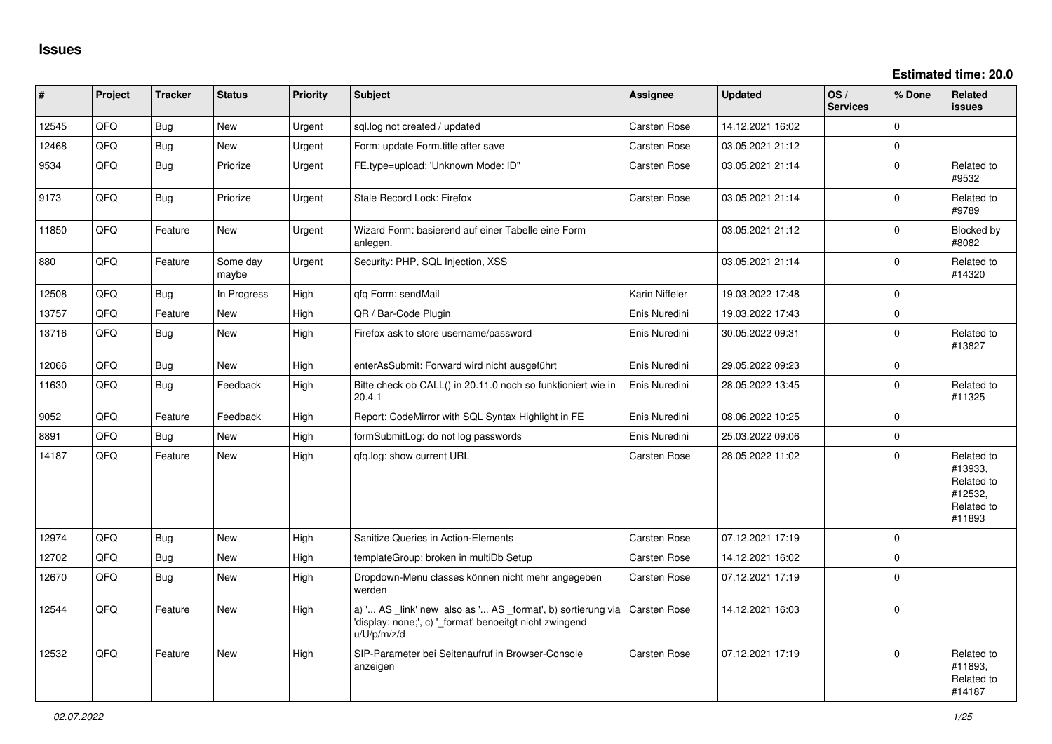**Estimated time: 20.0**

| #     | Project | <b>Tracker</b> | <b>Status</b>     | <b>Priority</b> | <b>Subject</b>                                                                                                                        | <b>Assignee</b>     | <b>Updated</b>   | OS/<br><b>Services</b> | % Done      | Related<br>issues                                                      |
|-------|---------|----------------|-------------------|-----------------|---------------------------------------------------------------------------------------------------------------------------------------|---------------------|------------------|------------------------|-------------|------------------------------------------------------------------------|
| 12545 | QFQ     | <b>Bug</b>     | <b>New</b>        | Urgent          | sql.log not created / updated                                                                                                         | Carsten Rose        | 14.12.2021 16:02 |                        | $\Omega$    |                                                                        |
| 12468 | QFQ     | Bug            | <b>New</b>        | Urgent          | Form: update Form.title after save                                                                                                    | Carsten Rose        | 03.05.2021 21:12 |                        | $\mathbf 0$ |                                                                        |
| 9534  | QFQ     | Bug            | Priorize          | Urgent          | FE.type=upload: 'Unknown Mode: ID"                                                                                                    | Carsten Rose        | 03.05.2021 21:14 |                        | $\mathbf 0$ | Related to<br>#9532                                                    |
| 9173  | QFQ     | <b>Bug</b>     | Priorize          | Urgent          | Stale Record Lock: Firefox                                                                                                            | Carsten Rose        | 03.05.2021 21:14 |                        | $\mathbf 0$ | Related to<br>#9789                                                    |
| 11850 | QFQ     | Feature        | New               | Urgent          | Wizard Form: basierend auf einer Tabelle eine Form<br>anlegen.                                                                        |                     | 03.05.2021 21:12 |                        | $\mathbf 0$ | Blocked by<br>#8082                                                    |
| 880   | QFQ     | Feature        | Some day<br>maybe | Urgent          | Security: PHP, SQL Injection, XSS                                                                                                     |                     | 03.05.2021 21:14 |                        | $\mathbf 0$ | Related to<br>#14320                                                   |
| 12508 | QFQ     | Bug            | In Progress       | High            | qfq Form: sendMail                                                                                                                    | Karin Niffeler      | 19.03.2022 17:48 |                        | $\mathbf 0$ |                                                                        |
| 13757 | QFQ     | Feature        | New               | High            | QR / Bar-Code Plugin                                                                                                                  | Enis Nuredini       | 19.03.2022 17:43 |                        | $\mathbf 0$ |                                                                        |
| 13716 | QFQ     | <b>Bug</b>     | <b>New</b>        | High            | Firefox ask to store username/password                                                                                                | Enis Nuredini       | 30.05.2022 09:31 |                        | $\mathbf 0$ | Related to<br>#13827                                                   |
| 12066 | QFQ     | <b>Bug</b>     | <b>New</b>        | High            | enterAsSubmit: Forward wird nicht ausgeführt                                                                                          | Enis Nuredini       | 29.05.2022 09:23 |                        | $\mathbf 0$ |                                                                        |
| 11630 | QFQ     | <b>Bug</b>     | Feedback          | High            | Bitte check ob CALL() in 20.11.0 noch so funktioniert wie in<br>20.4.1                                                                | Enis Nuredini       | 28.05.2022 13:45 |                        | $\mathbf 0$ | Related to<br>#11325                                                   |
| 9052  | QFQ     | Feature        | Feedback          | High            | Report: CodeMirror with SQL Syntax Highlight in FE                                                                                    | Enis Nuredini       | 08.06.2022 10:25 |                        | $\pmb{0}$   |                                                                        |
| 8891  | QFQ     | Bug            | <b>New</b>        | High            | formSubmitLog: do not log passwords                                                                                                   | Enis Nuredini       | 25.03.2022 09:06 |                        | $\mathbf 0$ |                                                                        |
| 14187 | QFQ     | Feature        | New               | High            | gfg.log: show current URL                                                                                                             | Carsten Rose        | 28.05.2022 11:02 |                        | $\mathbf 0$ | Related to<br>#13933,<br>Related to<br>#12532,<br>Related to<br>#11893 |
| 12974 | QFQ     | Bug            | <b>New</b>        | High            | Sanitize Queries in Action-Elements                                                                                                   | Carsten Rose        | 07.12.2021 17:19 |                        | $\Omega$    |                                                                        |
| 12702 | QFQ     | Bug            | <b>New</b>        | High            | templateGroup: broken in multiDb Setup                                                                                                | <b>Carsten Rose</b> | 14.12.2021 16:02 |                        | $\mathbf 0$ |                                                                        |
| 12670 | QFQ     | <b>Bug</b>     | New               | High            | Dropdown-Menu classes können nicht mehr angegeben<br>werden                                                                           | Carsten Rose        | 07.12.2021 17:19 |                        | $\Omega$    |                                                                        |
| 12544 | QFQ     | Feature        | New               | High            | a) ' AS _link' new also as ' AS _format', b) sortierung via<br>'display: none;', c) '_format' benoeitgt nicht zwingend<br>u/U/p/m/z/d | Carsten Rose        | 14.12.2021 16:03 |                        | $\mathbf 0$ |                                                                        |
| 12532 | QFQ     | Feature        | <b>New</b>        | High            | SIP-Parameter bei Seitenaufruf in Browser-Console<br>anzeigen                                                                         | <b>Carsten Rose</b> | 07.12.2021 17:19 |                        | $\mathbf 0$ | Related to<br>#11893,<br>Related to<br>#14187                          |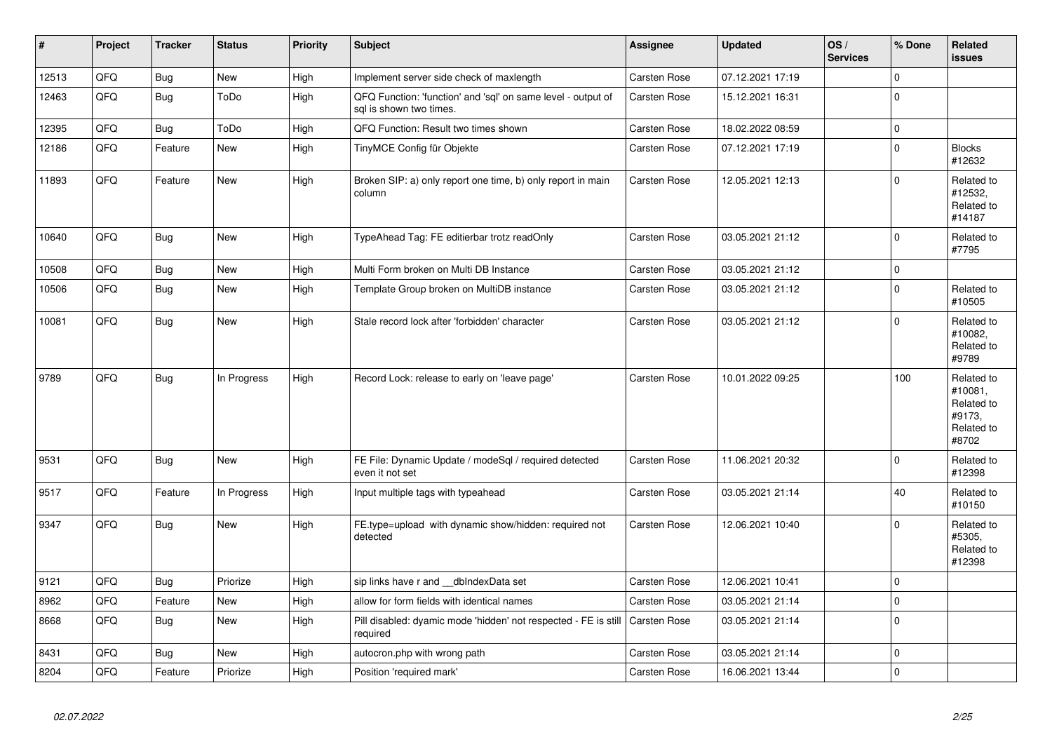| $\pmb{\#}$ | Project | <b>Tracker</b> | <b>Status</b> | <b>Priority</b> | <b>Subject</b>                                                                          | <b>Assignee</b>     | <b>Updated</b>   | OS/<br><b>Services</b> | % Done      | Related<br><b>issues</b>                                             |
|------------|---------|----------------|---------------|-----------------|-----------------------------------------------------------------------------------------|---------------------|------------------|------------------------|-------------|----------------------------------------------------------------------|
| 12513      | QFQ     | Bug            | <b>New</b>    | High            | Implement server side check of maxlength                                                | Carsten Rose        | 07.12.2021 17:19 |                        | 0           |                                                                      |
| 12463      | QFQ     | Bug            | ToDo          | High            | QFQ Function: 'function' and 'sql' on same level - output of<br>sal is shown two times. | Carsten Rose        | 15.12.2021 16:31 |                        | $\Omega$    |                                                                      |
| 12395      | QFQ     | <b>Bug</b>     | ToDo          | High            | QFQ Function: Result two times shown                                                    | Carsten Rose        | 18.02.2022 08:59 |                        | $\Omega$    |                                                                      |
| 12186      | QFQ     | Feature        | New           | High            | TinyMCE Config für Objekte                                                              | Carsten Rose        | 07.12.2021 17:19 |                        | 0           | <b>Blocks</b><br>#12632                                              |
| 11893      | QFQ     | Feature        | New           | High            | Broken SIP: a) only report one time, b) only report in main<br>column                   | <b>Carsten Rose</b> | 12.05.2021 12:13 |                        | 0           | Related to<br>#12532,<br>Related to<br>#14187                        |
| 10640      | QFQ     | Bug            | New           | High            | TypeAhead Tag: FE editierbar trotz readOnly                                             | Carsten Rose        | 03.05.2021 21:12 |                        | 0           | Related to<br>#7795                                                  |
| 10508      | QFQ     | <b>Bug</b>     | New           | High            | Multi Form broken on Multi DB Instance                                                  | Carsten Rose        | 03.05.2021 21:12 |                        | $\Omega$    |                                                                      |
| 10506      | QFQ     | Bug            | New           | High            | Template Group broken on MultiDB instance                                               | Carsten Rose        | 03.05.2021 21:12 |                        | $\mathsf 0$ | Related to<br>#10505                                                 |
| 10081      | QFQ     | Bug            | New           | High            | Stale record lock after 'forbidden' character                                           | Carsten Rose        | 03.05.2021 21:12 |                        | 0           | Related to<br>#10082.<br>Related to<br>#9789                         |
| 9789       | QFQ     | Bug            | In Progress   | High            | Record Lock: release to early on 'leave page'                                           | <b>Carsten Rose</b> | 10.01.2022 09:25 |                        | 100         | Related to<br>#10081,<br>Related to<br>#9173,<br>Related to<br>#8702 |
| 9531       | QFQ     | Bug            | <b>New</b>    | High            | FE File: Dynamic Update / modeSql / required detected<br>even it not set                | Carsten Rose        | 11.06.2021 20:32 |                        | 0           | Related to<br>#12398                                                 |
| 9517       | QFQ     | Feature        | In Progress   | High            | Input multiple tags with typeahead                                                      | Carsten Rose        | 03.05.2021 21:14 |                        | 40          | Related to<br>#10150                                                 |
| 9347       | QFQ     | Bug            | New           | High            | FE.type=upload with dynamic show/hidden: required not<br>detected                       | Carsten Rose        | 12.06.2021 10:40 |                        | $\Omega$    | Related to<br>#5305,<br>Related to<br>#12398                         |
| 9121       | QFQ     | <b>Bug</b>     | Priorize      | High            | sip links have r and __dbIndexData set                                                  | Carsten Rose        | 12.06.2021 10:41 |                        | $\Omega$    |                                                                      |
| 8962       | QFQ     | Feature        | New           | High            | allow for form fields with identical names                                              | Carsten Rose        | 03.05.2021 21:14 |                        | 0           |                                                                      |
| 8668       | QFQ     | Bug            | <b>New</b>    | High            | Pill disabled: dyamic mode 'hidden' not respected - FE is still<br>required             | <b>Carsten Rose</b> | 03.05.2021 21:14 |                        | $\Omega$    |                                                                      |
| 8431       | QFQ     | <b>Bug</b>     | New           | High            | autocron.php with wrong path                                                            | Carsten Rose        | 03.05.2021 21:14 |                        | 0           |                                                                      |
| 8204       | QFQ     | Feature        | Priorize      | High            | Position 'required mark'                                                                | Carsten Rose        | 16.06.2021 13:44 |                        | 0           |                                                                      |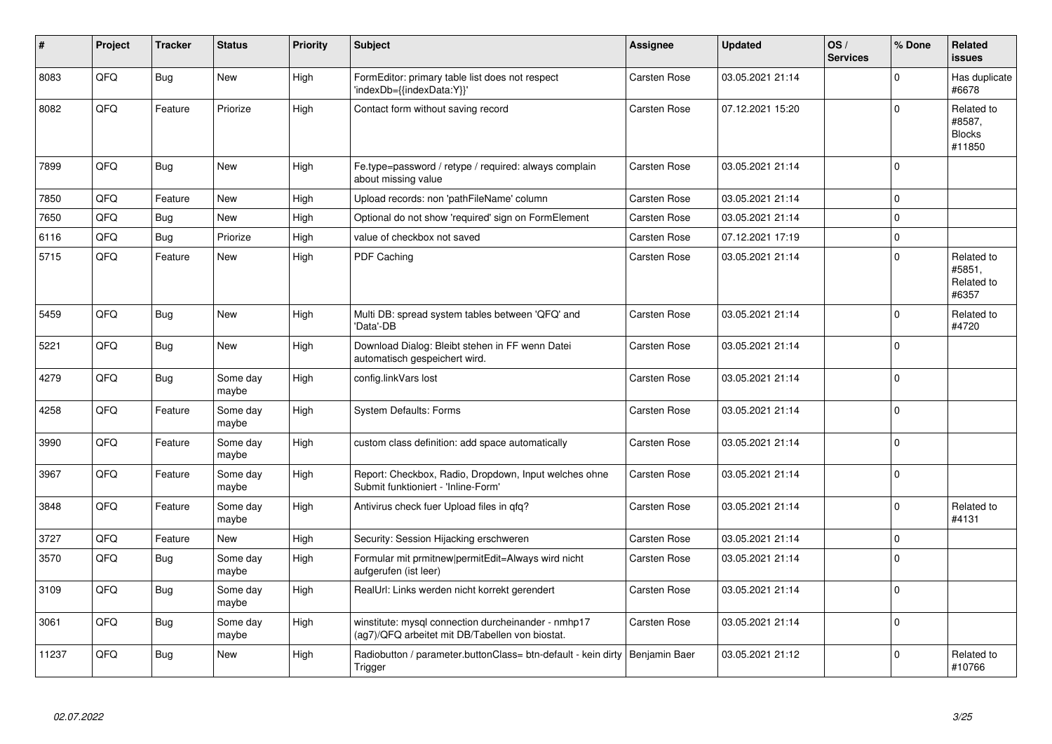| #     | Project | <b>Tracker</b> | <b>Status</b>     | <b>Priority</b> | <b>Subject</b>                                                                                         | Assignee            | <b>Updated</b>   | OS/<br><b>Services</b> | % Done       | <b>Related</b><br><b>issues</b>                 |
|-------|---------|----------------|-------------------|-----------------|--------------------------------------------------------------------------------------------------------|---------------------|------------------|------------------------|--------------|-------------------------------------------------|
| 8083  | QFQ     | Bug            | <b>New</b>        | High            | FormEditor: primary table list does not respect<br>'indexDb={{indexData:Y}}'                           | Carsten Rose        | 03.05.2021 21:14 |                        | $\Omega$     | Has duplicate<br>#6678                          |
| 8082  | QFQ     | Feature        | Priorize          | High            | Contact form without saving record                                                                     | Carsten Rose        | 07.12.2021 15:20 |                        | $\Omega$     | Related to<br>#8587,<br><b>Blocks</b><br>#11850 |
| 7899  | QFQ     | Bug            | New               | High            | Fe.type=password / retype / required: always complain<br>about missing value                           | Carsten Rose        | 03.05.2021 21:14 |                        | $\Omega$     |                                                 |
| 7850  | QFQ     | Feature        | New               | High            | Upload records: non 'pathFileName' column                                                              | Carsten Rose        | 03.05.2021 21:14 |                        | $\mathbf{0}$ |                                                 |
| 7650  | QFQ     | Bug            | New               | High            | Optional do not show 'required' sign on FormElement                                                    | Carsten Rose        | 03.05.2021 21:14 |                        | $\mathbf 0$  |                                                 |
| 6116  | QFQ     | <b>Bug</b>     | Priorize          | High            | value of checkbox not saved                                                                            | Carsten Rose        | 07.12.2021 17:19 |                        | $\Omega$     |                                                 |
| 5715  | QFQ     | Feature        | New               | High            | <b>PDF Caching</b>                                                                                     | <b>Carsten Rose</b> | 03.05.2021 21:14 |                        | $\mathbf 0$  | Related to<br>#5851,<br>Related to<br>#6357     |
| 5459  | QFQ     | Bug            | New               | High            | Multi DB: spread system tables between 'QFQ' and<br>'Data'-DB                                          | Carsten Rose        | 03.05.2021 21:14 |                        | $\mathbf 0$  | Related to<br>#4720                             |
| 5221  | QFQ     | <b>Bug</b>     | New               | High            | Download Dialog: Bleibt stehen in FF wenn Datei<br>automatisch gespeichert wird.                       | Carsten Rose        | 03.05.2021 21:14 |                        | $\Omega$     |                                                 |
| 4279  | QFQ     | <b>Bug</b>     | Some day<br>maybe | High            | config.linkVars lost                                                                                   | <b>Carsten Rose</b> | 03.05.2021 21:14 |                        | $\Omega$     |                                                 |
| 4258  | QFQ     | Feature        | Some day<br>maybe | High            | <b>System Defaults: Forms</b>                                                                          | <b>Carsten Rose</b> | 03.05.2021 21:14 |                        | $\Omega$     |                                                 |
| 3990  | QFQ     | Feature        | Some day<br>maybe | High            | custom class definition: add space automatically                                                       | <b>Carsten Rose</b> | 03.05.2021 21:14 |                        | $\mathbf 0$  |                                                 |
| 3967  | QFQ     | Feature        | Some day<br>maybe | High            | Report: Checkbox, Radio, Dropdown, Input welches ohne<br>Submit funktioniert - 'Inline-Form'           | Carsten Rose        | 03.05.2021 21:14 |                        | $\Omega$     |                                                 |
| 3848  | QFQ     | Feature        | Some day<br>maybe | High            | Antivirus check fuer Upload files in qfq?                                                              | Carsten Rose        | 03.05.2021 21:14 |                        | $\Omega$     | Related to<br>#4131                             |
| 3727  | QFQ     | Feature        | New               | High            | Security: Session Hijacking erschweren                                                                 | Carsten Rose        | 03.05.2021 21:14 |                        | $\mathbf 0$  |                                                 |
| 3570  | QFQ     | Bug            | Some day<br>maybe | High            | Formular mit prmitnew permitEdit=Always wird nicht<br>aufgerufen (ist leer)                            | <b>Carsten Rose</b> | 03.05.2021 21:14 |                        | $\Omega$     |                                                 |
| 3109  | QFQ     | <b>Bug</b>     | Some day<br>maybe | High            | RealUrl: Links werden nicht korrekt gerendert                                                          | Carsten Rose        | 03.05.2021 21:14 |                        | $\mathbf 0$  |                                                 |
| 3061  | QFQ     | <b>Bug</b>     | Some day<br>maybe | High            | winstitute: mysql connection durcheinander - nmhp17<br>(ag7)/QFQ arbeitet mit DB/Tabellen von biostat. | Carsten Rose        | 03.05.2021 21:14 |                        | $\Omega$     |                                                 |
| 11237 | QFQ     | Bug            | New               | High            | Radiobutton / parameter.buttonClass= btn-default - kein dirty<br>Trigger                               | Benjamin Baer       | 03.05.2021 21:12 |                        | $\Omega$     | Related to<br>#10766                            |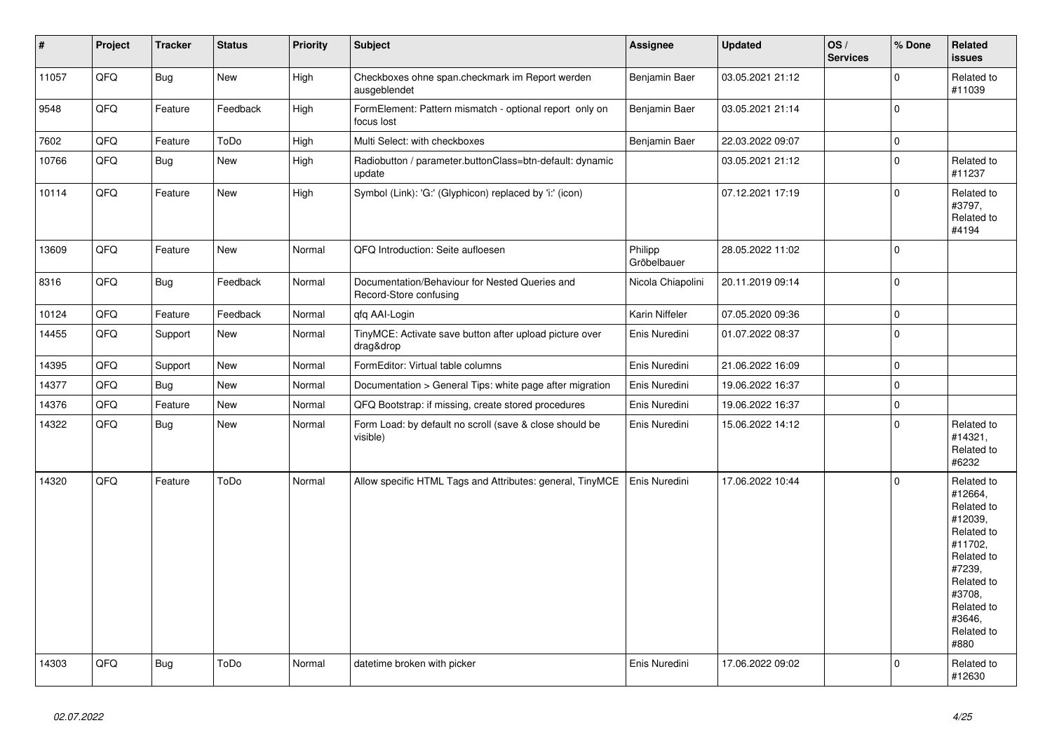| $\vert$ # | Project | <b>Tracker</b> | <b>Status</b> | <b>Priority</b> | <b>Subject</b>                                                           | Assignee               | <b>Updated</b>   | OS/<br><b>Services</b> | % Done              | Related<br><b>issues</b>                                                                                                                                              |
|-----------|---------|----------------|---------------|-----------------|--------------------------------------------------------------------------|------------------------|------------------|------------------------|---------------------|-----------------------------------------------------------------------------------------------------------------------------------------------------------------------|
| 11057     | QFQ     | Bug            | New           | High            | Checkboxes ohne span.checkmark im Report werden<br>ausgeblendet          | Benjamin Baer          | 03.05.2021 21:12 |                        | $\Omega$            | Related to<br>#11039                                                                                                                                                  |
| 9548      | QFQ     | Feature        | Feedback      | High            | FormElement: Pattern mismatch - optional report only on<br>focus lost    | Benjamin Baer          | 03.05.2021 21:14 |                        | $\Omega$            |                                                                                                                                                                       |
| 7602      | QFQ     | Feature        | ToDo          | High            | Multi Select: with checkboxes                                            | Benjamin Baer          | 22.03.2022 09:07 |                        | $\mathbf 0$         |                                                                                                                                                                       |
| 10766     | QFQ     | Bug            | New           | High            | Radiobutton / parameter.buttonClass=btn-default: dynamic<br>update       |                        | 03.05.2021 21:12 |                        | $\mathsf 0$         | Related to<br>#11237                                                                                                                                                  |
| 10114     | QFQ     | Feature        | New           | High            | Symbol (Link): 'G:' (Glyphicon) replaced by 'i:' (icon)                  |                        | 07.12.2021 17:19 |                        | $\Omega$            | Related to<br>#3797,<br>Related to<br>#4194                                                                                                                           |
| 13609     | QFQ     | Feature        | <b>New</b>    | Normal          | QFQ Introduction: Seite aufloesen                                        | Philipp<br>Gröbelbauer | 28.05.2022 11:02 |                        | $\Omega$            |                                                                                                                                                                       |
| 8316      | QFQ     | <b>Bug</b>     | Feedback      | Normal          | Documentation/Behaviour for Nested Queries and<br>Record-Store confusing | Nicola Chiapolini      | 20.11.2019 09:14 |                        | $\mathbf 0$         |                                                                                                                                                                       |
| 10124     | QFQ     | Feature        | Feedback      | Normal          | qfq AAI-Login                                                            | Karin Niffeler         | 07.05.2020 09:36 |                        | $\mathsf{O}\xspace$ |                                                                                                                                                                       |
| 14455     | QFQ     | Support        | New           | Normal          | TinyMCE: Activate save button after upload picture over<br>drag&drop     | Enis Nuredini          | 01.07.2022 08:37 |                        | $\pmb{0}$           |                                                                                                                                                                       |
| 14395     | QFQ     | Support        | New           | Normal          | FormEditor: Virtual table columns                                        | Enis Nuredini          | 21.06.2022 16:09 |                        | $\mathbf 0$         |                                                                                                                                                                       |
| 14377     | QFQ     | Bug            | New           | Normal          | Documentation > General Tips: white page after migration                 | Enis Nuredini          | 19.06.2022 16:37 |                        | $\pmb{0}$           |                                                                                                                                                                       |
| 14376     | QFQ     | Feature        | New           | Normal          | QFQ Bootstrap: if missing, create stored procedures                      | Enis Nuredini          | 19.06.2022 16:37 |                        | $\Omega$            |                                                                                                                                                                       |
| 14322     | QFQ     | <b>Bug</b>     | New           | Normal          | Form Load: by default no scroll (save & close should be<br>visible)      | Enis Nuredini          | 15.06.2022 14:12 |                        | $\Omega$            | Related to<br>#14321,<br>Related to<br>#6232                                                                                                                          |
| 14320     | QFQ     | Feature        | ToDo          | Normal          | Allow specific HTML Tags and Attributes: general, TinyMCE                | Enis Nuredini          | 17.06.2022 10:44 |                        | $\mathbf 0$         | Related to<br>#12664,<br>Related to<br>#12039,<br>Related to<br>#11702,<br>Related to<br>#7239,<br>Related to<br>#3708,<br>Related to<br>#3646.<br>Related to<br>#880 |
| 14303     | QFQ     | Bug            | ToDo          | Normal          | datetime broken with picker                                              | Enis Nuredini          | 17.06.2022 09:02 |                        | $\Omega$            | Related to<br>#12630                                                                                                                                                  |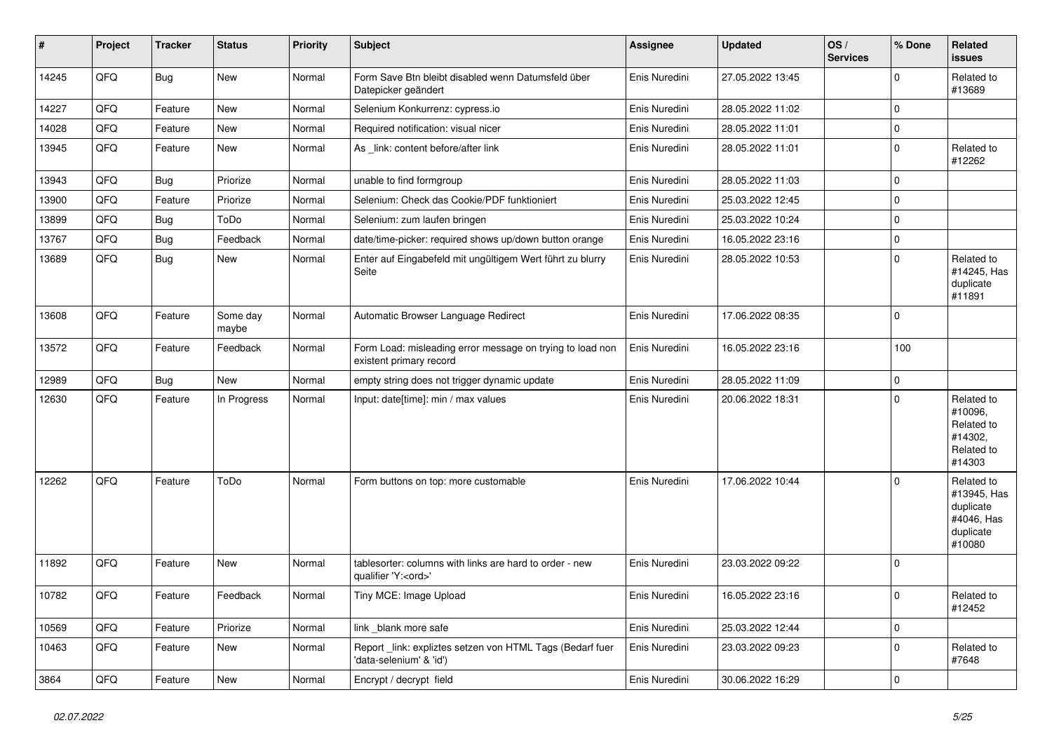| $\vert$ # | Project | <b>Tracker</b> | <b>Status</b>     | <b>Priority</b> | <b>Subject</b>                                                                        | <b>Assignee</b> | <b>Updated</b>   | OS/<br><b>Services</b> | % Done       | <b>Related</b><br>issues                                                    |
|-----------|---------|----------------|-------------------|-----------------|---------------------------------------------------------------------------------------|-----------------|------------------|------------------------|--------------|-----------------------------------------------------------------------------|
| 14245     | QFQ     | <b>Bug</b>     | <b>New</b>        | Normal          | Form Save Btn bleibt disabled wenn Datumsfeld über<br>Datepicker geändert             | Enis Nuredini   | 27.05.2022 13:45 |                        | $\Omega$     | Related to<br>#13689                                                        |
| 14227     | QFQ     | Feature        | New               | Normal          | Selenium Konkurrenz: cypress.io                                                       | Enis Nuredini   | 28.05.2022 11:02 |                        | $\mathbf 0$  |                                                                             |
| 14028     | QFQ     | Feature        | <b>New</b>        | Normal          | Required notification: visual nicer                                                   | Enis Nuredini   | 28.05.2022 11:01 |                        | $\pmb{0}$    |                                                                             |
| 13945     | QFQ     | Feature        | New               | Normal          | As link: content before/after link                                                    | Enis Nuredini   | 28.05.2022 11:01 |                        | $\mathbf 0$  | Related to<br>#12262                                                        |
| 13943     | QFQ     | <b>Bug</b>     | Priorize          | Normal          | unable to find formgroup                                                              | Enis Nuredini   | 28.05.2022 11:03 |                        | $\mathbf 0$  |                                                                             |
| 13900     | QFQ     | Feature        | Priorize          | Normal          | Selenium: Check das Cookie/PDF funktioniert                                           | Enis Nuredini   | 25.03.2022 12:45 |                        | $\mathbf 0$  |                                                                             |
| 13899     | QFQ     | <b>Bug</b>     | ToDo              | Normal          | Selenium: zum laufen bringen                                                          | Enis Nuredini   | 25.03.2022 10:24 |                        | $\mathbf 0$  |                                                                             |
| 13767     | QFQ     | <b>Bug</b>     | Feedback          | Normal          | date/time-picker: required shows up/down button orange                                | Enis Nuredini   | 16.05.2022 23:16 |                        | $\mathbf 0$  |                                                                             |
| 13689     | QFQ     | Bug            | New               | Normal          | Enter auf Eingabefeld mit ungültigem Wert führt zu blurry<br>Seite                    | Enis Nuredini   | 28.05.2022 10:53 |                        | $\mathbf{0}$ | Related to<br>#14245, Has<br>duplicate<br>#11891                            |
| 13608     | QFQ     | Feature        | Some day<br>maybe | Normal          | Automatic Browser Language Redirect                                                   | Enis Nuredini   | 17.06.2022 08:35 |                        | $\Omega$     |                                                                             |
| 13572     | QFQ     | Feature        | Feedback          | Normal          | Form Load: misleading error message on trying to load non<br>existent primary record  | Enis Nuredini   | 16.05.2022 23:16 |                        | 100          |                                                                             |
| 12989     | QFQ     | <b>Bug</b>     | <b>New</b>        | Normal          | empty string does not trigger dynamic update                                          | Enis Nuredini   | 28.05.2022 11:09 |                        | $\mathbf 0$  |                                                                             |
| 12630     | QFQ     | Feature        | In Progress       | Normal          | Input: date[time]: min / max values                                                   | Enis Nuredini   | 20.06.2022 18:31 |                        | $\mathbf 0$  | Related to<br>#10096.<br>Related to<br>#14302,<br>Related to<br>#14303      |
| 12262     | QFQ     | Feature        | ToDo              | Normal          | Form buttons on top: more customable                                                  | Enis Nuredini   | 17.06.2022 10:44 |                        | $\Omega$     | Related to<br>#13945, Has<br>duplicate<br>#4046, Has<br>duplicate<br>#10080 |
| 11892     | QFQ     | Feature        | New               | Normal          | tablesorter: columns with links are hard to order - new<br>qualifier 'Y: <ord>'</ord> | Enis Nuredini   | 23.03.2022 09:22 |                        | $\mathbf 0$  |                                                                             |
| 10782     | QFQ     | Feature        | Feedback          | Normal          | Tiny MCE: Image Upload                                                                | Enis Nuredini   | 16.05.2022 23:16 |                        | $\Omega$     | Related to<br>#12452                                                        |
| 10569     | QFQ     | Feature        | Priorize          | Normal          | link _blank more safe                                                                 | Enis Nuredini   | 25.03.2022 12:44 |                        | $\mathbf 0$  |                                                                             |
| 10463     | QFQ     | Feature        | New               | Normal          | Report _link: expliztes setzen von HTML Tags (Bedarf fuer<br>'data-selenium' & 'id')  | Enis Nuredini   | 23.03.2022 09:23 |                        | $\Omega$     | Related to<br>#7648                                                         |
| 3864      | QFQ     | Feature        | <b>New</b>        | Normal          | Encrypt / decrypt field                                                               | Enis Nuredini   | 30.06.2022 16:29 |                        | $\mathbf 0$  |                                                                             |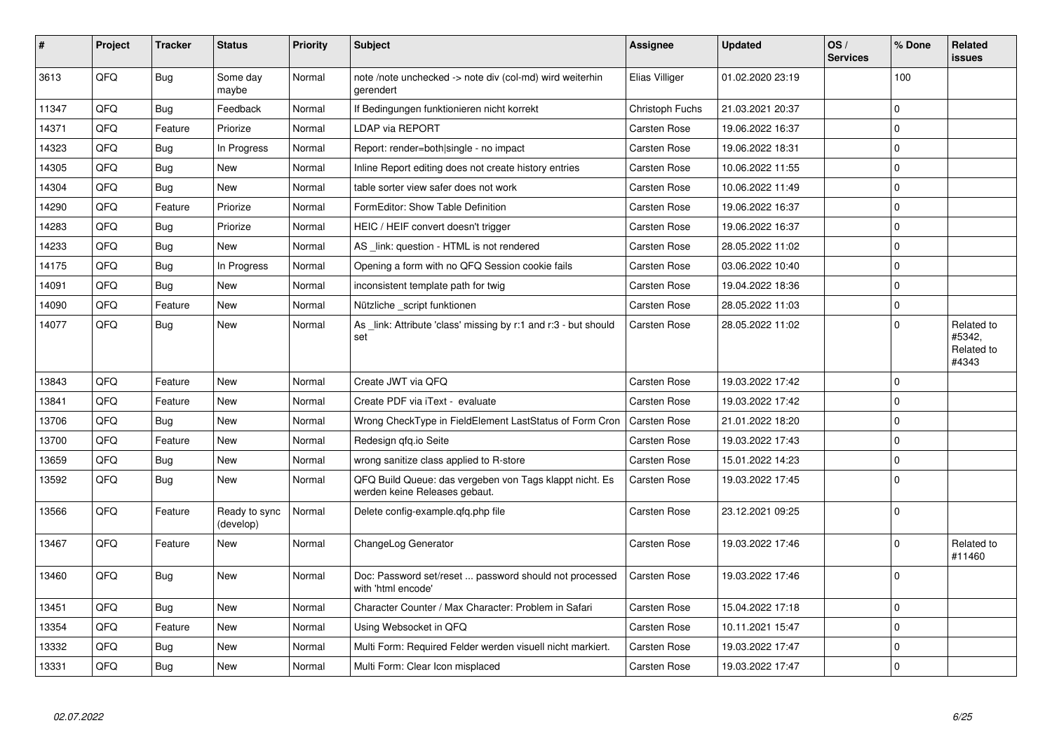| #     | Project | <b>Tracker</b> | <b>Status</b>              | <b>Priority</b> | <b>Subject</b>                                                                           | <b>Assignee</b>        | <b>Updated</b>   | OS/<br><b>Services</b> | % Done      | Related<br><b>issues</b>                    |
|-------|---------|----------------|----------------------------|-----------------|------------------------------------------------------------------------------------------|------------------------|------------------|------------------------|-------------|---------------------------------------------|
| 3613  | QFQ     | <b>Bug</b>     | Some day<br>maybe          | Normal          | note /note unchecked -> note div (col-md) wird weiterhin<br>gerendert                    | Elias Villiger         | 01.02.2020 23:19 |                        | 100         |                                             |
| 11347 | QFQ     | <b>Bug</b>     | Feedback                   | Normal          | If Bedingungen funktionieren nicht korrekt                                               | <b>Christoph Fuchs</b> | 21.03.2021 20:37 |                        | $\mathbf 0$ |                                             |
| 14371 | QFQ     | Feature        | Priorize                   | Normal          | LDAP via REPORT                                                                          | Carsten Rose           | 19.06.2022 16:37 |                        | $\Omega$    |                                             |
| 14323 | QFQ     | <b>Bug</b>     | In Progress                | Normal          | Report: render=both single - no impact                                                   | Carsten Rose           | 19.06.2022 18:31 |                        | $\mathbf 0$ |                                             |
| 14305 | QFQ     | Bug            | <b>New</b>                 | Normal          | Inline Report editing does not create history entries                                    | Carsten Rose           | 10.06.2022 11:55 |                        | $\mathbf 0$ |                                             |
| 14304 | QFQ     | <b>Bug</b>     | New                        | Normal          | table sorter view safer does not work                                                    | <b>Carsten Rose</b>    | 10.06.2022 11:49 |                        | $\Omega$    |                                             |
| 14290 | QFQ     | Feature        | Priorize                   | Normal          | FormEditor: Show Table Definition                                                        | Carsten Rose           | 19.06.2022 16:37 |                        | $\mathbf 0$ |                                             |
| 14283 | QFQ     | Bug            | Priorize                   | Normal          | HEIC / HEIF convert doesn't trigger                                                      | Carsten Rose           | 19.06.2022 16:37 |                        | $\mathbf 0$ |                                             |
| 14233 | QFQ     | <b>Bug</b>     | New                        | Normal          | AS _link: question - HTML is not rendered                                                | Carsten Rose           | 28.05.2022 11:02 |                        | $\mathbf 0$ |                                             |
| 14175 | QFQ     | Bug            | In Progress                | Normal          | Opening a form with no QFQ Session cookie fails                                          | Carsten Rose           | 03.06.2022 10:40 |                        | $\Omega$    |                                             |
| 14091 | QFQ     | <b>Bug</b>     | New                        | Normal          | inconsistent template path for twig                                                      | <b>Carsten Rose</b>    | 19.04.2022 18:36 |                        | $\Omega$    |                                             |
| 14090 | QFQ     | Feature        | New                        | Normal          | Nützliche _script funktionen                                                             | Carsten Rose           | 28.05.2022 11:03 |                        | $\pmb{0}$   |                                             |
| 14077 | QFQ     | <b>Bug</b>     | New                        | Normal          | As link: Attribute 'class' missing by r:1 and r:3 - but should<br>set                    | <b>Carsten Rose</b>    | 28.05.2022 11:02 |                        | $\Omega$    | Related to<br>#5342,<br>Related to<br>#4343 |
| 13843 | QFQ     | Feature        | <b>New</b>                 | Normal          | Create JWT via QFQ                                                                       | Carsten Rose           | 19.03.2022 17:42 |                        | $\mathbf 0$ |                                             |
| 13841 | QFQ     | Feature        | <b>New</b>                 | Normal          | Create PDF via iText - evaluate                                                          | <b>Carsten Rose</b>    | 19.03.2022 17:42 |                        | $\Omega$    |                                             |
| 13706 | QFQ     | <b>Bug</b>     | <b>New</b>                 | Normal          | Wrong CheckType in FieldElement LastStatus of Form Cron                                  | <b>Carsten Rose</b>    | 21.01.2022 18:20 |                        | $\mathbf 0$ |                                             |
| 13700 | QFQ     | Feature        | New                        | Normal          | Redesign gfg.io Seite                                                                    | Carsten Rose           | 19.03.2022 17:43 |                        | $\mathbf 0$ |                                             |
| 13659 | QFQ     | Bug            | New                        | Normal          | wrong sanitize class applied to R-store                                                  | Carsten Rose           | 15.01.2022 14:23 |                        | $\mathbf 0$ |                                             |
| 13592 | QFQ     | <b>Bug</b>     | <b>New</b>                 | Normal          | QFQ Build Queue: das vergeben von Tags klappt nicht. Es<br>werden keine Releases gebaut. | <b>Carsten Rose</b>    | 19.03.2022 17:45 |                        | $\Omega$    |                                             |
| 13566 | QFQ     | Feature        | Ready to sync<br>(develop) | Normal          | Delete config-example.gfg.php file                                                       | Carsten Rose           | 23.12.2021 09:25 |                        | $\mathbf 0$ |                                             |
| 13467 | QFQ     | Feature        | New                        | Normal          | ChangeLog Generator                                                                      | Carsten Rose           | 19.03.2022 17:46 |                        | $\Omega$    | Related to<br>#11460                        |
| 13460 | QFQ     | Bug            | New                        | Normal          | Doc: Password set/reset  password should not processed<br>with 'html encode'             | Carsten Rose           | 19.03.2022 17:46 |                        | $\mathbf 0$ |                                             |
| 13451 | QFQ     | <b>Bug</b>     | <b>New</b>                 | Normal          | Character Counter / Max Character: Problem in Safari                                     | Carsten Rose           | 15.04.2022 17:18 |                        | $\Omega$    |                                             |
| 13354 | QFQ     | Feature        | New                        | Normal          | Using Websocket in QFQ                                                                   | Carsten Rose           | 10.11.2021 15:47 |                        | $\pmb{0}$   |                                             |
| 13332 | QFQ     | Bug            | New                        | Normal          | Multi Form: Required Felder werden visuell nicht markiert.                               | Carsten Rose           | 19.03.2022 17:47 |                        | $\mathbf 0$ |                                             |
| 13331 | QFQ     | <b>Bug</b>     | New                        | Normal          | Multi Form: Clear Icon misplaced                                                         | <b>Carsten Rose</b>    | 19.03.2022 17:47 |                        | $\Omega$    |                                             |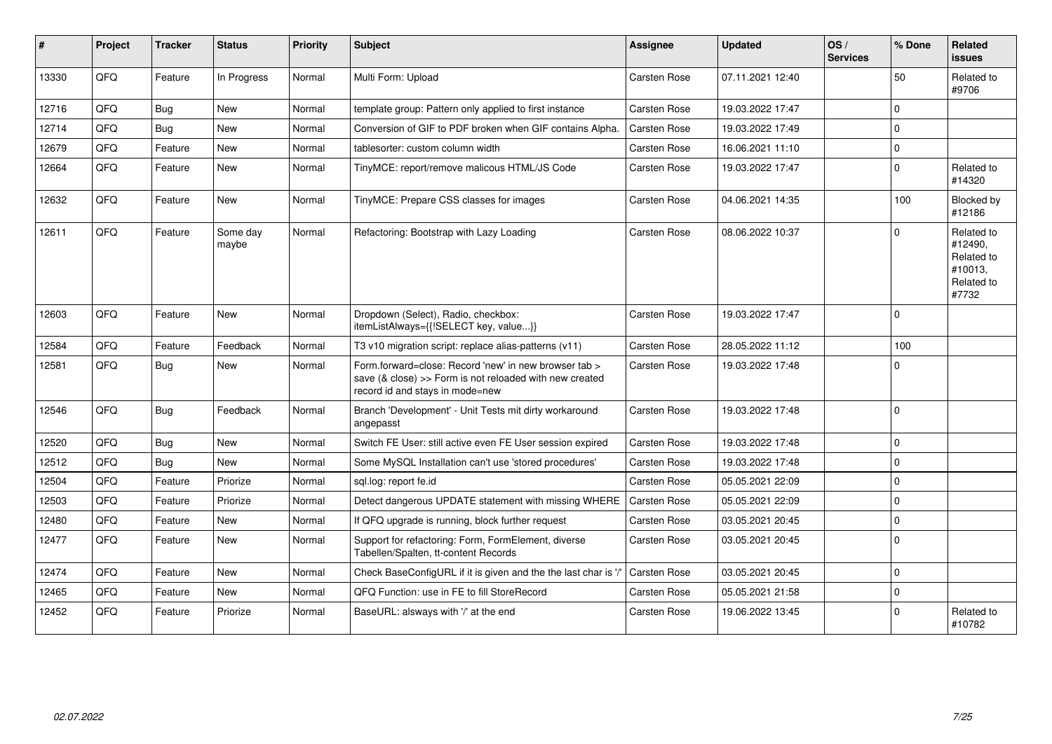| #     | Project | <b>Tracker</b> | <b>Status</b>     | <b>Priority</b> | <b>Subject</b>                                                                                                                                      | <b>Assignee</b>     | <b>Updated</b>   | OS/<br><b>Services</b> | % Done         | Related<br>issues                                                     |
|-------|---------|----------------|-------------------|-----------------|-----------------------------------------------------------------------------------------------------------------------------------------------------|---------------------|------------------|------------------------|----------------|-----------------------------------------------------------------------|
| 13330 | QFQ     | Feature        | In Progress       | Normal          | Multi Form: Upload                                                                                                                                  | Carsten Rose        | 07.11.2021 12:40 |                        | 50             | Related to<br>#9706                                                   |
| 12716 | QFQ     | Bug            | New               | Normal          | template group: Pattern only applied to first instance                                                                                              | Carsten Rose        | 19.03.2022 17:47 |                        | $\Omega$       |                                                                       |
| 12714 | OFO     | Bug            | <b>New</b>        | Normal          | Conversion of GIF to PDF broken when GIF contains Alpha.                                                                                            | <b>Carsten Rose</b> | 19.03.2022 17:49 |                        | $\Omega$       |                                                                       |
| 12679 | QFQ     | Feature        | <b>New</b>        | Normal          | tablesorter: custom column width                                                                                                                    | <b>Carsten Rose</b> | 16.06.2021 11:10 |                        | $\overline{0}$ |                                                                       |
| 12664 | QFQ     | Feature        | New               | Normal          | TinyMCE: report/remove malicous HTML/JS Code                                                                                                        | Carsten Rose        | 19.03.2022 17:47 |                        | $\Omega$       | Related to<br>#14320                                                  |
| 12632 | QFQ     | Feature        | New               | Normal          | TinyMCE: Prepare CSS classes for images                                                                                                             | Carsten Rose        | 04.06.2021 14:35 |                        | 100            | Blocked by<br>#12186                                                  |
| 12611 | QFQ     | Feature        | Some day<br>maybe | Normal          | Refactoring: Bootstrap with Lazy Loading                                                                                                            | Carsten Rose        | 08.06.2022 10:37 |                        | $\Omega$       | Related to<br>#12490,<br>Related to<br>#10013,<br>Related to<br>#7732 |
| 12603 | QFQ     | Feature        | <b>New</b>        | Normal          | Dropdown (Select), Radio, checkbox:<br>itemListAlways={{!SELECT key, value}}                                                                        | Carsten Rose        | 19.03.2022 17:47 |                        | $\mathbf 0$    |                                                                       |
| 12584 | QFQ     | Feature        | Feedback          | Normal          | T3 v10 migration script: replace alias-patterns (v11)                                                                                               | Carsten Rose        | 28.05.2022 11:12 |                        | 100            |                                                                       |
| 12581 | QFQ     | Bug            | <b>New</b>        | Normal          | Form.forward=close: Record 'new' in new browser tab ><br>save (& close) >> Form is not reloaded with new created<br>record id and stays in mode=new | Carsten Rose        | 19.03.2022 17:48 |                        | 0              |                                                                       |
| 12546 | QFQ     | Bug            | Feedback          | Normal          | Branch 'Development' - Unit Tests mit dirty workaround<br>angepasst                                                                                 | Carsten Rose        | 19.03.2022 17:48 |                        | $\mathbf 0$    |                                                                       |
| 12520 | QFQ     | <b>Bug</b>     | New               | Normal          | Switch FE User: still active even FE User session expired                                                                                           | Carsten Rose        | 19.03.2022 17:48 |                        | $\mathbf{0}$   |                                                                       |
| 12512 | QFQ     | <b>Bug</b>     | <b>New</b>        | Normal          | Some MySQL Installation can't use 'stored procedures'                                                                                               | Carsten Rose        | 19.03.2022 17:48 |                        | 0              |                                                                       |
| 12504 | QFQ     | Feature        | Priorize          | Normal          | sql.log: report fe.id                                                                                                                               | Carsten Rose        | 05.05.2021 22:09 |                        | $\mathbf 0$    |                                                                       |
| 12503 | QFQ     | Feature        | Priorize          | Normal          | Detect dangerous UPDATE statement with missing WHERE                                                                                                | l Carsten Rose      | 05.05.2021 22:09 |                        | 0              |                                                                       |
| 12480 | QFQ     | Feature        | <b>New</b>        | Normal          | If QFQ upgrade is running, block further request                                                                                                    | Carsten Rose        | 03.05.2021 20:45 |                        | $\Omega$       |                                                                       |
| 12477 | QFQ     | Feature        | New               | Normal          | Support for refactoring: Form, FormElement, diverse<br>Tabellen/Spalten, tt-content Records                                                         | Carsten Rose        | 03.05.2021 20:45 |                        | $\Omega$       |                                                                       |
| 12474 | QFQ     | Feature        | New               | Normal          | Check BaseConfigURL if it is given and the the last char is '/'                                                                                     | Carsten Rose        | 03.05.2021 20:45 |                        | $\Omega$       |                                                                       |
| 12465 | QFQ     | Feature        | <b>New</b>        | Normal          | QFQ Function: use in FE to fill StoreRecord                                                                                                         | Carsten Rose        | 05.05.2021 21:58 |                        | 0              |                                                                       |
| 12452 | QFQ     | Feature        | Priorize          | Normal          | BaseURL: alsways with '/' at the end                                                                                                                | Carsten Rose        | 19.06.2022 13:45 |                        | $\Omega$       | Related to<br>#10782                                                  |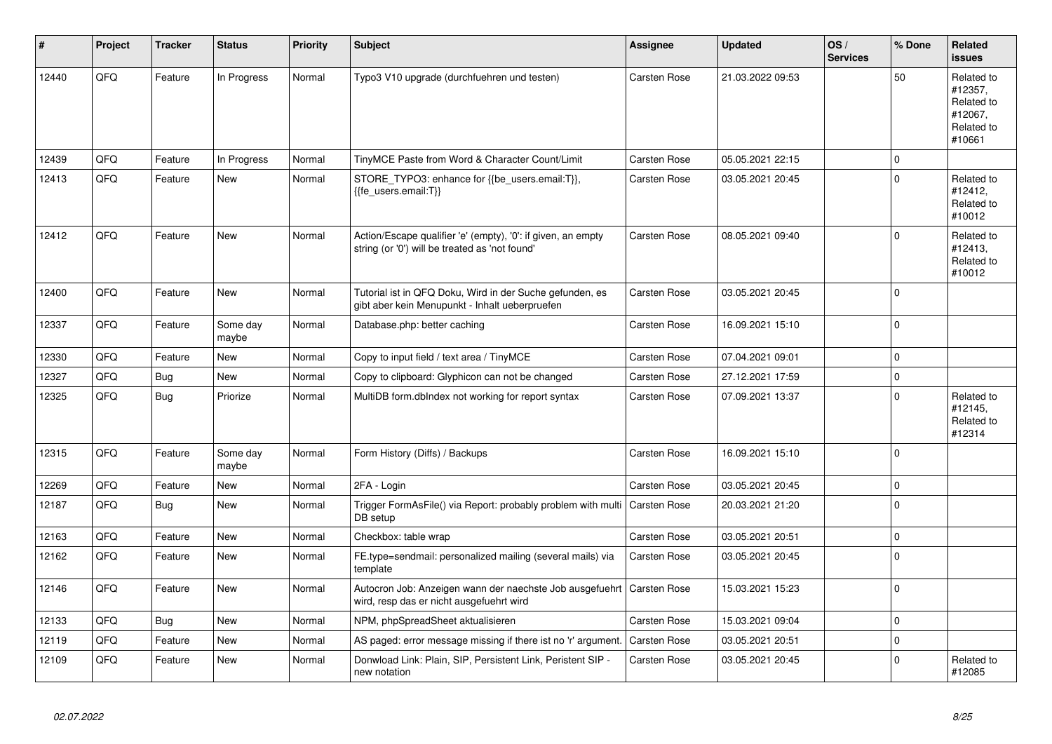| #     | Project | <b>Tracker</b> | <b>Status</b>     | <b>Priority</b> | <b>Subject</b>                                                                                                 | <b>Assignee</b>     | <b>Updated</b>   | OS/<br><b>Services</b> | % Done              | Related<br><b>issues</b>                                               |
|-------|---------|----------------|-------------------|-----------------|----------------------------------------------------------------------------------------------------------------|---------------------|------------------|------------------------|---------------------|------------------------------------------------------------------------|
| 12440 | QFQ     | Feature        | In Progress       | Normal          | Typo3 V10 upgrade (durchfuehren und testen)                                                                    | Carsten Rose        | 21.03.2022 09:53 |                        | 50                  | Related to<br>#12357,<br>Related to<br>#12067,<br>Related to<br>#10661 |
| 12439 | QFQ     | Feature        | In Progress       | Normal          | TinyMCE Paste from Word & Character Count/Limit                                                                | Carsten Rose        | 05.05.2021 22:15 |                        | 0                   |                                                                        |
| 12413 | QFQ     | Feature        | <b>New</b>        | Normal          | STORE_TYPO3: enhance for {{be_users.email:T}},<br>{{fe_users.email:T}}                                         | Carsten Rose        | 03.05.2021 20:45 |                        | $\Omega$            | Related to<br>#12412,<br>Related to<br>#10012                          |
| 12412 | QFQ     | Feature        | <b>New</b>        | Normal          | Action/Escape qualifier 'e' (empty), '0': if given, an empty<br>string (or '0') will be treated as 'not found' | Carsten Rose        | 08.05.2021 09:40 |                        | $\Omega$            | Related to<br>#12413,<br>Related to<br>#10012                          |
| 12400 | QFQ     | Feature        | <b>New</b>        | Normal          | Tutorial ist in QFQ Doku, Wird in der Suche gefunden, es<br>gibt aber kein Menupunkt - Inhalt ueberpruefen     | <b>Carsten Rose</b> | 03.05.2021 20:45 |                        | $\Omega$            |                                                                        |
| 12337 | QFQ     | Feature        | Some day<br>maybe | Normal          | Database.php: better caching                                                                                   | Carsten Rose        | 16.09.2021 15:10 |                        | $\Omega$            |                                                                        |
| 12330 | QFQ     | Feature        | New               | Normal          | Copy to input field / text area / TinyMCE                                                                      | Carsten Rose        | 07.04.2021 09:01 |                        | 0                   |                                                                        |
| 12327 | QFQ     | <b>Bug</b>     | <b>New</b>        | Normal          | Copy to clipboard: Glyphicon can not be changed                                                                | Carsten Rose        | 27.12.2021 17:59 |                        | $\mathbf 0$         |                                                                        |
| 12325 | QFQ     | <b>Bug</b>     | Priorize          | Normal          | MultiDB form.dblndex not working for report syntax                                                             | Carsten Rose        | 07.09.2021 13:37 |                        | $\mathbf 0$         | Related to<br>#12145,<br>Related to<br>#12314                          |
| 12315 | QFQ     | Feature        | Some day<br>maybe | Normal          | Form History (Diffs) / Backups                                                                                 | Carsten Rose        | 16.09.2021 15:10 |                        | $\Omega$            |                                                                        |
| 12269 | QFQ     | Feature        | New               | Normal          | 2FA - Login                                                                                                    | Carsten Rose        | 03.05.2021 20:45 |                        | $\mathbf{0}$        |                                                                        |
| 12187 | QFQ     | <b>Bug</b>     | New               | Normal          | Trigger FormAsFile() via Report: probably problem with multi<br>DB setup                                       | Carsten Rose        | 20.03.2021 21:20 |                        | $\Omega$            |                                                                        |
| 12163 | QFQ     | Feature        | New               | Normal          | Checkbox: table wrap                                                                                           | Carsten Rose        | 03.05.2021 20:51 |                        | $\pmb{0}$           |                                                                        |
| 12162 | QFQ     | Feature        | New               | Normal          | FE.type=sendmail: personalized mailing (several mails) via<br>template                                         | Carsten Rose        | 03.05.2021 20:45 |                        | $\mathbf 0$         |                                                                        |
| 12146 | QFQ     | Feature        | New               | Normal          | Autocron Job: Anzeigen wann der naechste Job ausgefuehrt<br>wird, resp das er nicht ausgefuehrt wird           | Carsten Rose        | 15.03.2021 15:23 |                        | $\Omega$            |                                                                        |
| 12133 | QFQ     | <b>Bug</b>     | New               | Normal          | NPM, phpSpreadSheet aktualisieren                                                                              | <b>Carsten Rose</b> | 15.03.2021 09:04 |                        | $\mathsf{O}\xspace$ |                                                                        |
| 12119 | QFQ     | Feature        | New               | Normal          | AS paged: error message missing if there ist no 'r' argument.                                                  | <b>Carsten Rose</b> | 03.05.2021 20:51 |                        | $\mathbf{0}$        |                                                                        |
| 12109 | QFQ     | Feature        | New               | Normal          | Donwload Link: Plain, SIP, Persistent Link, Peristent SIP -<br>new notation                                    | Carsten Rose        | 03.05.2021 20:45 |                        | $\Omega$            | Related to<br>#12085                                                   |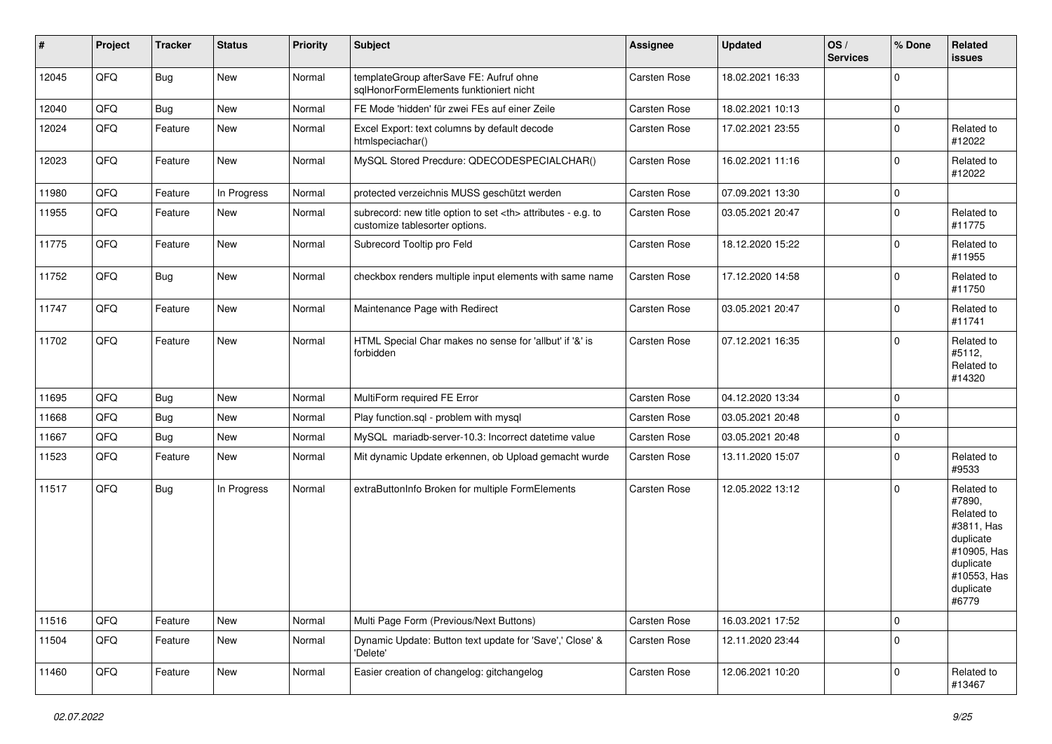| $\sharp$ | Project | <b>Tracker</b> | <b>Status</b> | <b>Priority</b> | <b>Subject</b>                                                                                       | <b>Assignee</b>                                        | <b>Updated</b>   | OS/<br><b>Services</b> | % Done      | Related<br><b>issues</b>                                                                                                       |                      |
|----------|---------|----------------|---------------|-----------------|------------------------------------------------------------------------------------------------------|--------------------------------------------------------|------------------|------------------------|-------------|--------------------------------------------------------------------------------------------------------------------------------|----------------------|
| 12045    | QFQ     | <b>Bug</b>     | New           | Normal          | templateGroup afterSave FE: Aufruf ohne<br>sqlHonorFormElements funktioniert nicht                   | Carsten Rose                                           | 18.02.2021 16:33 |                        | $\mathbf 0$ |                                                                                                                                |                      |
| 12040    | QFQ     | Bug            | New           | Normal          | FE Mode 'hidden' für zwei FEs auf einer Zeile                                                        | Carsten Rose                                           | 18.02.2021 10:13 |                        | 0           |                                                                                                                                |                      |
| 12024    | QFQ     | Feature        | New           | Normal          | Excel Export: text columns by default decode<br>htmlspeciachar()                                     | Carsten Rose                                           | 17.02.2021 23:55 |                        | $\mathbf 0$ | Related to<br>#12022                                                                                                           |                      |
| 12023    | QFQ     | Feature        | New           | Normal          | MySQL Stored Precdure: QDECODESPECIALCHAR()                                                          | Carsten Rose                                           | 16.02.2021 11:16 |                        | $\mathbf 0$ | Related to<br>#12022                                                                                                           |                      |
| 11980    | QFQ     | Feature        | In Progress   | Normal          | protected verzeichnis MUSS geschützt werden                                                          | Carsten Rose                                           | 07.09.2021 13:30 |                        | $\mathbf 0$ |                                                                                                                                |                      |
| 11955    | QFQ     | Feature        | New           | Normal          | subrecord: new title option to set <th> attributes - e.g. to<br/>customize tablesorter options.</th> | attributes - e.g. to<br>customize tablesorter options. | Carsten Rose     | 03.05.2021 20:47       |             | $\mathbf 0$                                                                                                                    | Related to<br>#11775 |
| 11775    | QFQ     | Feature        | New           | Normal          | Subrecord Tooltip pro Feld                                                                           | Carsten Rose                                           | 18.12.2020 15:22 |                        | $\mathbf 0$ | Related to<br>#11955                                                                                                           |                      |
| 11752    | QFQ     | <b>Bug</b>     | New           | Normal          | checkbox renders multiple input elements with same name                                              | Carsten Rose                                           | 17.12.2020 14:58 |                        | $\mathbf 0$ | Related to<br>#11750                                                                                                           |                      |
| 11747    | QFQ     | Feature        | New           | Normal          | Maintenance Page with Redirect                                                                       | Carsten Rose                                           | 03.05.2021 20:47 |                        | $\mathbf 0$ | Related to<br>#11741                                                                                                           |                      |
| 11702    | QFQ     | Feature        | New           | Normal          | HTML Special Char makes no sense for 'allbut' if '&' is<br>forbidden                                 | Carsten Rose                                           | 07.12.2021 16:35 |                        | $\Omega$    | Related to<br>#5112,<br>Related to<br>#14320                                                                                   |                      |
| 11695    | QFQ     | Bug            | New           | Normal          | MultiForm required FE Error                                                                          | Carsten Rose                                           | 04.12.2020 13:34 |                        | 0           |                                                                                                                                |                      |
| 11668    | QFQ     | <b>Bug</b>     | New           | Normal          | Play function.sql - problem with mysql                                                               | Carsten Rose                                           | 03.05.2021 20:48 |                        | $\mathbf 0$ |                                                                                                                                |                      |
| 11667    | QFQ     | <b>Bug</b>     | New           | Normal          | MySQL mariadb-server-10.3: Incorrect datetime value                                                  | Carsten Rose                                           | 03.05.2021 20:48 |                        | $\mathbf 0$ |                                                                                                                                |                      |
| 11523    | QFQ     | Feature        | New           | Normal          | Mit dynamic Update erkennen, ob Upload gemacht wurde                                                 | Carsten Rose                                           | 13.11.2020 15:07 |                        | $\mathbf 0$ | Related to<br>#9533                                                                                                            |                      |
| 11517    | QFQ     | <b>Bug</b>     | In Progress   | Normal          | extraButtonInfo Broken for multiple FormElements                                                     | Carsten Rose                                           | 12.05.2022 13:12 |                        | $\Omega$    | Related to<br>#7890,<br>Related to<br>#3811, Has<br>duplicate<br>#10905, Has<br>duplicate<br>#10553, Has<br>duplicate<br>#6779 |                      |
| 11516    | QFQ     | Feature        | New           | Normal          | Multi Page Form (Previous/Next Buttons)                                                              | Carsten Rose                                           | 16.03.2021 17:52 |                        | 0           |                                                                                                                                |                      |
| 11504    | QFQ     | Feature        | New           | Normal          | Dynamic Update: Button text update for 'Save',' Close' &<br>'Delete'                                 | Carsten Rose                                           | 12.11.2020 23:44 |                        | $\mathbf 0$ |                                                                                                                                |                      |
| 11460    | QFQ     | Feature        | New           | Normal          | Easier creation of changelog: gitchangelog                                                           | Carsten Rose                                           | 12.06.2021 10:20 |                        | $\mathbf 0$ | Related to<br>#13467                                                                                                           |                      |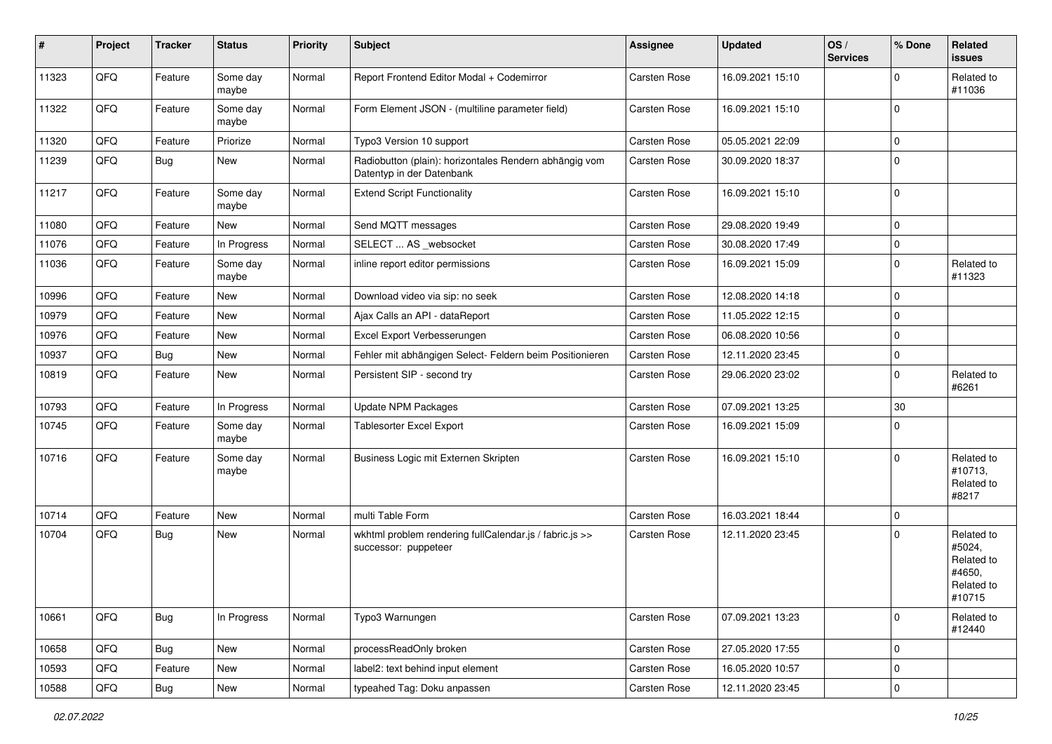| #     | Project        | <b>Tracker</b> | <b>Status</b>     | <b>Priority</b> | <b>Subject</b>                                                                      | <b>Assignee</b> | <b>Updated</b>   | OS/<br><b>Services</b> | % Done    | Related<br>issues                                                    |
|-------|----------------|----------------|-------------------|-----------------|-------------------------------------------------------------------------------------|-----------------|------------------|------------------------|-----------|----------------------------------------------------------------------|
| 11323 | QFQ            | Feature        | Some day<br>maybe | Normal          | Report Frontend Editor Modal + Codemirror                                           | Carsten Rose    | 16.09.2021 15:10 |                        | 0         | Related to<br>#11036                                                 |
| 11322 | QFQ            | Feature        | Some day<br>maybe | Normal          | Form Element JSON - (multiline parameter field)                                     | Carsten Rose    | 16.09.2021 15:10 |                        | 0         |                                                                      |
| 11320 | QFQ            | Feature        | Priorize          | Normal          | Typo3 Version 10 support                                                            | Carsten Rose    | 05.05.2021 22:09 |                        | 0         |                                                                      |
| 11239 | QFQ            | Bug            | New               | Normal          | Radiobutton (plain): horizontales Rendern abhängig vom<br>Datentyp in der Datenbank | Carsten Rose    | 30.09.2020 18:37 |                        | $\Omega$  |                                                                      |
| 11217 | QFQ            | Feature        | Some day<br>maybe | Normal          | <b>Extend Script Functionality</b>                                                  | Carsten Rose    | 16.09.2021 15:10 |                        | 0         |                                                                      |
| 11080 | QFQ            | Feature        | New               | Normal          | Send MQTT messages                                                                  | Carsten Rose    | 29.08.2020 19:49 |                        | 0         |                                                                      |
| 11076 | QFQ            | Feature        | In Progress       | Normal          | SELECT  AS _websocket                                                               | Carsten Rose    | 30.08.2020 17:49 |                        | 0         |                                                                      |
| 11036 | QFQ            | Feature        | Some day<br>maybe | Normal          | inline report editor permissions                                                    | Carsten Rose    | 16.09.2021 15:09 |                        | 0         | Related to<br>#11323                                                 |
| 10996 | QFQ            | Feature        | New               | Normal          | Download video via sip: no seek                                                     | Carsten Rose    | 12.08.2020 14:18 |                        | 0         |                                                                      |
| 10979 | QFQ            | Feature        | New               | Normal          | Ajax Calls an API - dataReport                                                      | Carsten Rose    | 11.05.2022 12:15 |                        | 0         |                                                                      |
| 10976 | QFQ            | Feature        | New               | Normal          | Excel Export Verbesserungen                                                         | Carsten Rose    | 06.08.2020 10:56 |                        | 0         |                                                                      |
| 10937 | QFQ            | <b>Bug</b>     | New               | Normal          | Fehler mit abhängigen Select- Feldern beim Positionieren                            | Carsten Rose    | 12.11.2020 23:45 |                        | 0         |                                                                      |
| 10819 | QFQ            | Feature        | New               | Normal          | Persistent SIP - second try                                                         | Carsten Rose    | 29.06.2020 23:02 |                        | 0         | Related to<br>#6261                                                  |
| 10793 | QFQ            | Feature        | In Progress       | Normal          | <b>Update NPM Packages</b>                                                          | Carsten Rose    | 07.09.2021 13:25 |                        | 30        |                                                                      |
| 10745 | QFQ            | Feature        | Some day<br>maybe | Normal          | Tablesorter Excel Export                                                            | Carsten Rose    | 16.09.2021 15:09 |                        | 0         |                                                                      |
| 10716 | QFQ            | Feature        | Some day<br>maybe | Normal          | Business Logic mit Externen Skripten                                                | Carsten Rose    | 16.09.2021 15:10 |                        | 0         | Related to<br>#10713,<br>Related to<br>#8217                         |
| 10714 | QFQ            | Feature        | New               | Normal          | multi Table Form                                                                    | Carsten Rose    | 16.03.2021 18:44 |                        | 0         |                                                                      |
| 10704 | QFQ            | Bug            | New               | Normal          | wkhtml problem rendering fullCalendar.js / fabric.js >><br>successor: puppeteer     | Carsten Rose    | 12.11.2020 23:45 |                        | $\Omega$  | Related to<br>#5024,<br>Related to<br>#4650,<br>Related to<br>#10/15 |
| 10661 | QFQ            | Bug            | In Progress       | Normal          | Typo3 Warnungen                                                                     | Carsten Rose    | 07.09.2021 13:23 |                        | $\pmb{0}$ | Related to<br>#12440                                                 |
| 10658 | QFQ            | <b>Bug</b>     | New               | Normal          | processReadOnly broken                                                              | Carsten Rose    | 27.05.2020 17:55 |                        | $\pmb{0}$ |                                                                      |
| 10593 | QFQ            | Feature        | New               | Normal          | label2: text behind input element                                                   | Carsten Rose    | 16.05.2020 10:57 |                        | 0         |                                                                      |
| 10588 | $\mathsf{QFQ}$ | Bug            | New               | Normal          | typeahed Tag: Doku anpassen                                                         | Carsten Rose    | 12.11.2020 23:45 |                        | $\pmb{0}$ |                                                                      |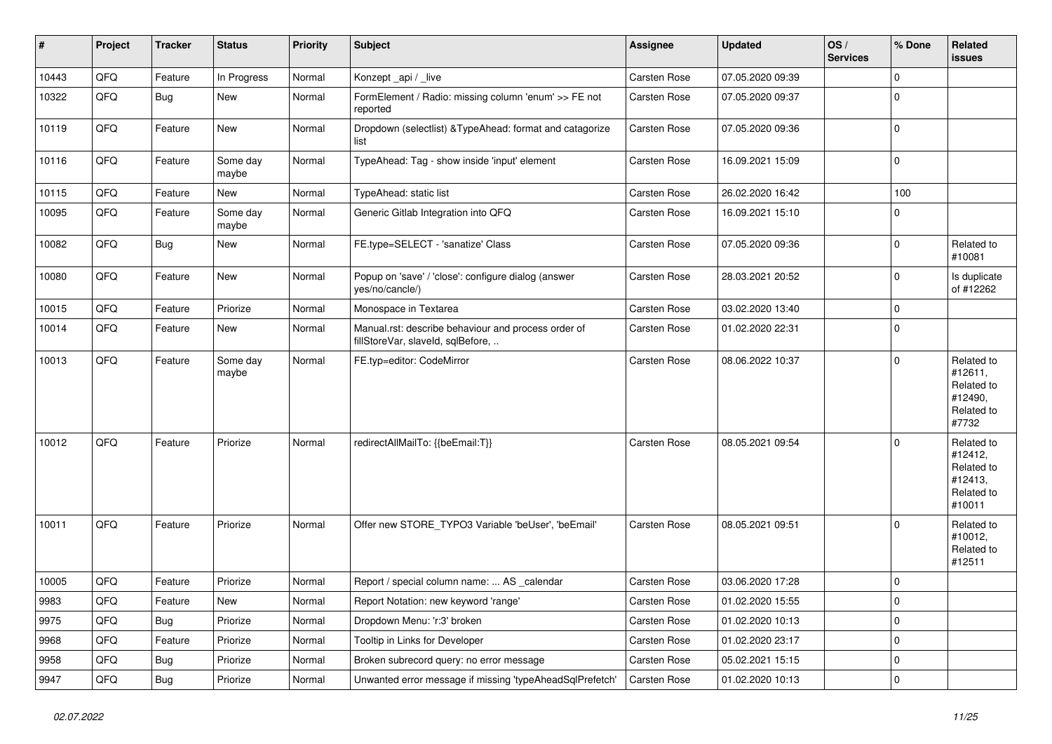| $\vert$ # | Project | <b>Tracker</b> | <b>Status</b>     | <b>Priority</b> | <b>Subject</b>                                                                           | Assignee            | <b>Updated</b>   | OS/<br><b>Services</b> | % Done      | Related<br><b>issues</b>                                               |
|-----------|---------|----------------|-------------------|-----------------|------------------------------------------------------------------------------------------|---------------------|------------------|------------------------|-------------|------------------------------------------------------------------------|
| 10443     | QFQ     | Feature        | In Progress       | Normal          | Konzept_api / _live                                                                      | Carsten Rose        | 07.05.2020 09:39 |                        | $\mathbf 0$ |                                                                        |
| 10322     | QFQ     | Bug            | <b>New</b>        | Normal          | FormElement / Radio: missing column 'enum' >> FE not<br>reported                         | Carsten Rose        | 07.05.2020 09:37 |                        | $\mathbf 0$ |                                                                        |
| 10119     | QFQ     | Feature        | <b>New</b>        | Normal          | Dropdown (selectlist) & Type Ahead: format and catagorize<br>list                        | Carsten Rose        | 07.05.2020 09:36 |                        | $\pmb{0}$   |                                                                        |
| 10116     | QFQ     | Feature        | Some day<br>maybe | Normal          | TypeAhead: Tag - show inside 'input' element                                             | Carsten Rose        | 16.09.2021 15:09 |                        | $\mathbf 0$ |                                                                        |
| 10115     | QFQ     | Feature        | New               | Normal          | TypeAhead: static list                                                                   | Carsten Rose        | 26.02.2020 16:42 |                        | 100         |                                                                        |
| 10095     | QFQ     | Feature        | Some day<br>maybe | Normal          | Generic Gitlab Integration into QFQ                                                      | Carsten Rose        | 16.09.2021 15:10 |                        | $\mathbf 0$ |                                                                        |
| 10082     | QFQ     | <b>Bug</b>     | <b>New</b>        | Normal          | FE.type=SELECT - 'sanatize' Class                                                        | Carsten Rose        | 07.05.2020 09:36 |                        | $\Omega$    | Related to<br>#10081                                                   |
| 10080     | QFQ     | Feature        | New               | Normal          | Popup on 'save' / 'close': configure dialog (answer<br>yes/no/cancle/)                   | Carsten Rose        | 28.03.2021 20:52 |                        | $\mathbf 0$ | Is duplicate<br>of #12262                                              |
| 10015     | QFQ     | Feature        | Priorize          | Normal          | Monospace in Textarea                                                                    | Carsten Rose        | 03.02.2020 13:40 |                        | $\pmb{0}$   |                                                                        |
| 10014     | QFQ     | Feature        | New               | Normal          | Manual.rst: describe behaviour and process order of<br>fillStoreVar, slaveId, sqlBefore, | Carsten Rose        | 01.02.2020 22:31 |                        | $\mathbf 0$ |                                                                        |
| 10013     | QFQ     | Feature        | Some day<br>maybe | Normal          | FE.typ=editor: CodeMirror                                                                | Carsten Rose        | 08.06.2022 10:37 |                        | $\Omega$    | Related to<br>#12611,<br>Related to<br>#12490,<br>Related to<br>#7732  |
| 10012     | QFQ     | Feature        | Priorize          | Normal          | redirectAllMailTo: {{beEmail:T}}                                                         | Carsten Rose        | 08.05.2021 09:54 |                        | $\Omega$    | Related to<br>#12412,<br>Related to<br>#12413,<br>Related to<br>#10011 |
| 10011     | QFQ     | Feature        | Priorize          | Normal          | Offer new STORE TYPO3 Variable 'beUser', 'beEmail'                                       | Carsten Rose        | 08.05.2021 09:51 |                        | $\Omega$    | Related to<br>#10012,<br>Related to<br>#12511                          |
| 10005     | QFQ     | Feature        | Priorize          | Normal          | Report / special column name:  AS _calendar                                              | Carsten Rose        | 03.06.2020 17:28 |                        | $\Omega$    |                                                                        |
| 9983      | QFQ     | Feature        | <b>New</b>        | Normal          | Report Notation: new keyword 'range'                                                     | Carsten Rose        | 01.02.2020 15:55 |                        | $\Omega$    |                                                                        |
| 9975      | QFQ     | <b>Bug</b>     | Priorize          | Normal          | Dropdown Menu: 'r:3' broken                                                              | Carsten Rose        | 01.02.2020 10:13 |                        | $\mathbf 0$ |                                                                        |
| 9968      | QFQ     | Feature        | Priorize          | Normal          | Tooltip in Links for Developer                                                           | Carsten Rose        | 01.02.2020 23:17 |                        | $\mathbf 0$ |                                                                        |
| 9958      | QFQ     | Bug            | Priorize          | Normal          | Broken subrecord query: no error message                                                 | <b>Carsten Rose</b> | 05.02.2021 15:15 |                        | $\mathbf 0$ |                                                                        |
| 9947      | QFQ     | Bug            | Priorize          | Normal          | Unwanted error message if missing 'typeAheadSqlPrefetch'                                 | <b>Carsten Rose</b> | 01.02.2020 10:13 |                        | $\mathbf 0$ |                                                                        |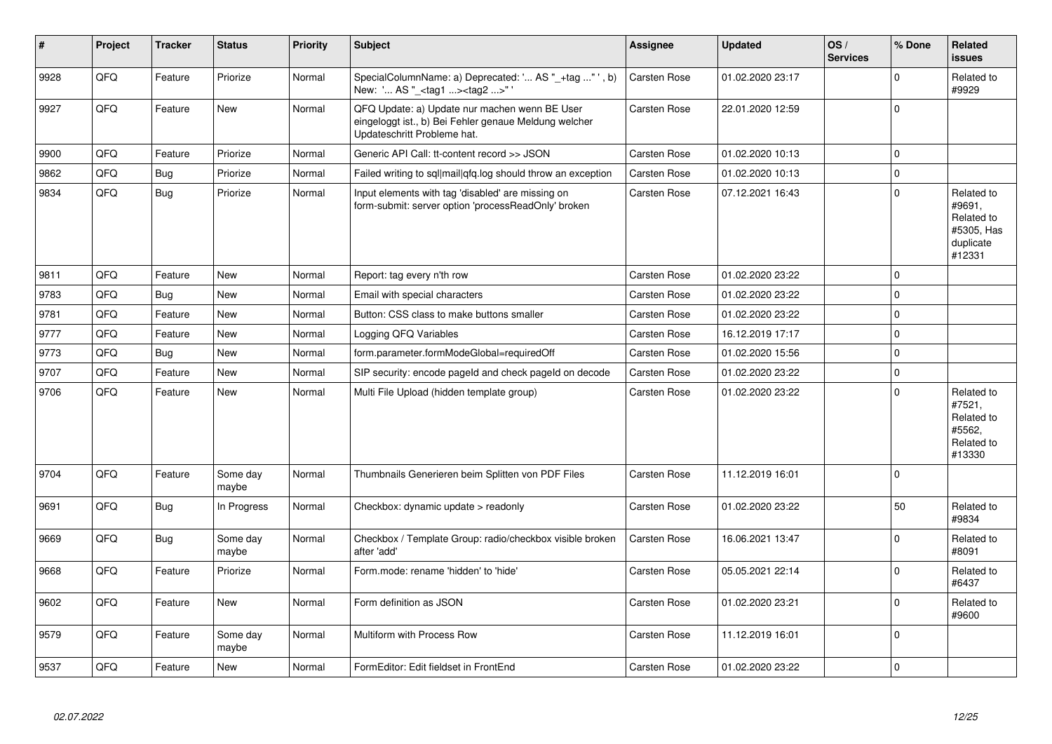| $\vert$ # | Project | <b>Tracker</b> | <b>Status</b>     | <b>Priority</b> | <b>Subject</b>                                                                                                                        | Assignee     | <b>Updated</b>   | OS/<br><b>Services</b> | % Done              | Related<br><b>issues</b>                                                |
|-----------|---------|----------------|-------------------|-----------------|---------------------------------------------------------------------------------------------------------------------------------------|--------------|------------------|------------------------|---------------------|-------------------------------------------------------------------------|
| 9928      | QFQ     | Feature        | Priorize          | Normal          | SpecialColumnName: a) Deprecated: ' AS "_+tag " ', b)<br>New: ' AS "_ <tag1><tag2>"</tag2></tag1>                                     | Carsten Rose | 01.02.2020 23:17 |                        | $\Omega$            | Related to<br>#9929                                                     |
| 9927      | QFQ     | Feature        | New               | Normal          | QFQ Update: a) Update nur machen wenn BE User<br>eingeloggt ist., b) Bei Fehler genaue Meldung welcher<br>Updateschritt Probleme hat. | Carsten Rose | 22.01.2020 12:59 |                        | $\Omega$            |                                                                         |
| 9900      | QFQ     | Feature        | Priorize          | Normal          | Generic API Call: tt-content record >> JSON                                                                                           | Carsten Rose | 01.02.2020 10:13 |                        | $\Omega$            |                                                                         |
| 9862      | QFQ     | <b>Bug</b>     | Priorize          | Normal          | Failed writing to sql mail qfq.log should throw an exception                                                                          | Carsten Rose | 01.02.2020 10:13 |                        | $\Omega$            |                                                                         |
| 9834      | QFQ     | Bug            | Priorize          | Normal          | Input elements with tag 'disabled' are missing on<br>form-submit: server option 'processReadOnly' broken                              | Carsten Rose | 07.12.2021 16:43 |                        | $\mathbf 0$         | Related to<br>#9691,<br>Related to<br>#5305, Has<br>duplicate<br>#12331 |
| 9811      | QFQ     | Feature        | New               | Normal          | Report: tag every n'th row                                                                                                            | Carsten Rose | 01.02.2020 23:22 |                        | $\mathbf 0$         |                                                                         |
| 9783      | QFQ     | Bug            | <b>New</b>        | Normal          | Email with special characters                                                                                                         | Carsten Rose | 01.02.2020 23:22 |                        | $\mathbf 0$         |                                                                         |
| 9781      | QFQ     | Feature        | <b>New</b>        | Normal          | Button: CSS class to make buttons smaller                                                                                             | Carsten Rose | 01.02.2020 23:22 |                        | $\mathbf 0$         |                                                                         |
| 9777      | QFQ     | Feature        | New               | Normal          | Logging QFQ Variables                                                                                                                 | Carsten Rose | 16.12.2019 17:17 |                        | $\mathbf 0$         |                                                                         |
| 9773      | QFQ     | Bug            | New               | Normal          | form.parameter.formModeGlobal=requiredOff                                                                                             | Carsten Rose | 01.02.2020 15:56 |                        | $\mathbf 0$         |                                                                         |
| 9707      | QFQ     | Feature        | <b>New</b>        | Normal          | SIP security: encode pageld and check pageld on decode                                                                                | Carsten Rose | 01.02.2020 23:22 |                        | $\mathbf 0$         |                                                                         |
| 9706      | QFQ     | Feature        | New               | Normal          | Multi File Upload (hidden template group)                                                                                             | Carsten Rose | 01.02.2020 23:22 |                        | $\mathsf 0$         | Related to<br>#7521,<br>Related to<br>#5562,<br>Related to<br>#13330    |
| 9704      | QFQ     | Feature        | Some day<br>maybe | Normal          | Thumbnails Generieren beim Splitten von PDF Files                                                                                     | Carsten Rose | 11.12.2019 16:01 |                        | $\mathbf 0$         |                                                                         |
| 9691      | QFQ     | <b>Bug</b>     | In Progress       | Normal          | Checkbox: dynamic update > readonly                                                                                                   | Carsten Rose | 01.02.2020 23:22 |                        | 50                  | Related to<br>#9834                                                     |
| 9669      | QFQ     | <b>Bug</b>     | Some day<br>maybe | Normal          | Checkbox / Template Group: radio/checkbox visible broken<br>after 'add'                                                               | Carsten Rose | 16.06.2021 13:47 |                        | $\mathbf 0$         | Related to<br>#8091                                                     |
| 9668      | QFQ     | Feature        | Priorize          | Normal          | Form.mode: rename 'hidden' to 'hide'                                                                                                  | Carsten Rose | 05.05.2021 22:14 |                        | $\mathbf 0$         | Related to<br>#6437                                                     |
| 9602      | QFQ     | Feature        | New               | Normal          | Form definition as JSON                                                                                                               | Carsten Rose | 01.02.2020 23:21 |                        | $\Omega$            | Related to<br>#9600                                                     |
| 9579      | QFQ     | Feature        | Some day<br>maybe | Normal          | Multiform with Process Row                                                                                                            | Carsten Rose | 11.12.2019 16:01 |                        | $\Omega$            |                                                                         |
| 9537      | QFQ     | Feature        | New               | Normal          | FormEditor: Edit fieldset in FrontEnd                                                                                                 | Carsten Rose | 01.02.2020 23:22 |                        | $\mathsf{O}\xspace$ |                                                                         |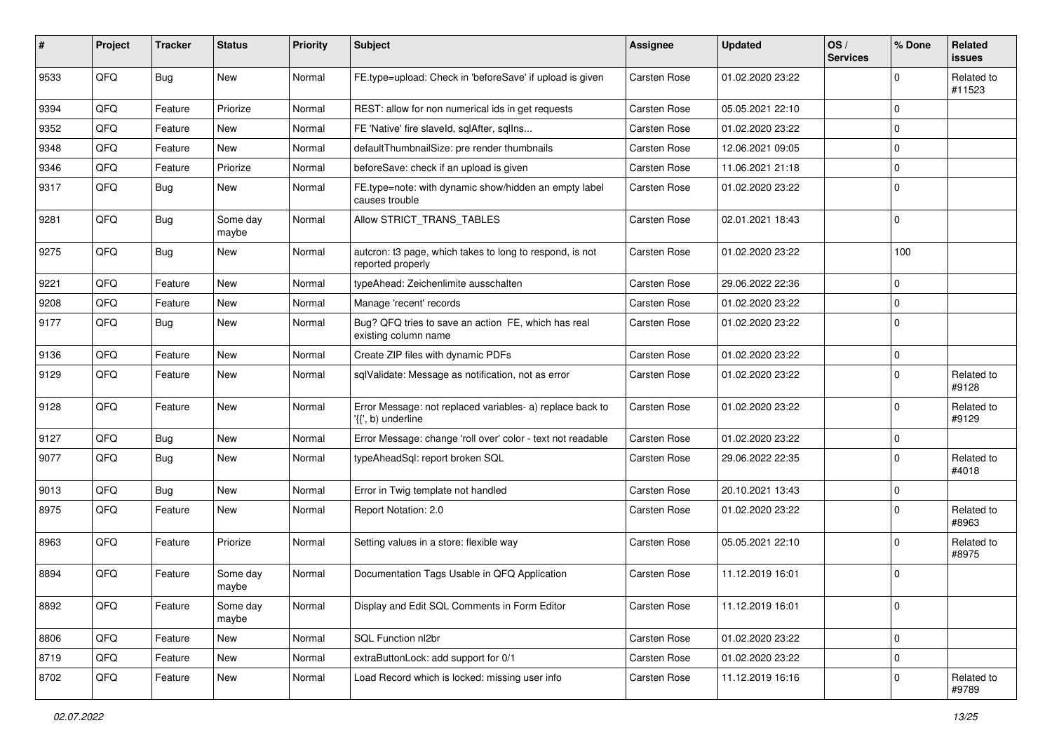| #    | Project | <b>Tracker</b> | <b>Status</b>     | <b>Priority</b> | <b>Subject</b>                                                                                       | <b>Assignee</b>     | <b>Updated</b>   | OS/<br><b>Services</b> | % Done      | Related<br>issues    |
|------|---------|----------------|-------------------|-----------------|------------------------------------------------------------------------------------------------------|---------------------|------------------|------------------------|-------------|----------------------|
| 9533 | QFQ     | Bug            | New               | Normal          | FE.type=upload: Check in 'beforeSave' if upload is given                                             | <b>Carsten Rose</b> | 01.02.2020 23:22 |                        | $\Omega$    | Related to<br>#11523 |
| 9394 | QFQ     | Feature        | Priorize          | Normal          | REST: allow for non numerical ids in get requests                                                    | Carsten Rose        | 05.05.2021 22:10 |                        | $\Omega$    |                      |
| 9352 | QFQ     | Feature        | New               | Normal          | FE 'Native' fire slaveld, sqlAfter, sqlIns                                                           | <b>Carsten Rose</b> | 01.02.2020 23:22 |                        | 0           |                      |
| 9348 | QFQ     | Feature        | New               | Normal          | defaultThumbnailSize: pre render thumbnails                                                          | Carsten Rose        | 12.06.2021 09:05 |                        | $\mathbf 0$ |                      |
| 9346 | QFQ     | Feature        | Priorize          | Normal          | beforeSave: check if an upload is given                                                              | Carsten Rose        | 11.06.2021 21:18 |                        | $\Omega$    |                      |
| 9317 | QFQ     | <b>Bug</b>     | New               | Normal          | FE.type=note: with dynamic show/hidden an empty label<br>causes trouble                              | Carsten Rose        | 01.02.2020 23:22 |                        | $\mathbf 0$ |                      |
| 9281 | QFQ     | Bug            | Some day<br>maybe | Normal          | Allow STRICT_TRANS_TABLES                                                                            | Carsten Rose        | 02.01.2021 18:43 |                        | 0           |                      |
| 9275 | QFQ     | Bug            | New               | Normal          | autcron: t3 page, which takes to long to respond, is not<br>reported properly                        | Carsten Rose        | 01.02.2020 23:22 |                        | 100         |                      |
| 9221 | QFQ     | Feature        | New               | Normal          | typeAhead: Zeichenlimite ausschalten                                                                 | <b>Carsten Rose</b> | 29.06.2022 22:36 |                        | 0           |                      |
| 9208 | QFQ     | Feature        | New               | Normal          | Manage 'recent' records                                                                              | Carsten Rose        | 01.02.2020 23:22 |                        | $\mathbf 0$ |                      |
| 9177 | QFQ     | Bug            | New               | Normal          | Bug? QFQ tries to save an action FE, which has real<br>existing column name                          | Carsten Rose        | 01.02.2020 23:22 |                        | $\Omega$    |                      |
| 9136 | QFQ     | Feature        | New               | Normal          | Create ZIP files with dynamic PDFs                                                                   | Carsten Rose        | 01.02.2020 23:22 |                        | 0           |                      |
| 9129 | QFQ     | Feature        | New               | Normal          | sqlValidate: Message as notification, not as error                                                   | Carsten Rose        | 01.02.2020 23:22 |                        | 0           | Related to<br>#9128  |
| 9128 | QFQ     | Feature        | New               | Normal          | Error Message: not replaced variables- a) replace back to<br>$\langle \{ \cdot, b \rangle$ underline | Carsten Rose        | 01.02.2020 23:22 |                        | $\Omega$    | Related to<br>#9129  |
| 9127 | QFQ     | <b>Bug</b>     | New               | Normal          | Error Message: change 'roll over' color - text not readable                                          | Carsten Rose        | 01.02.2020 23:22 |                        | $\mathbf 0$ |                      |
| 9077 | QFQ     | <b>Bug</b>     | New               | Normal          | typeAheadSql: report broken SQL                                                                      | Carsten Rose        | 29.06.2022 22:35 |                        | $\Omega$    | Related to<br>#4018  |
| 9013 | QFQ     | Bug            | New               | Normal          | Error in Twig template not handled                                                                   | Carsten Rose        | 20.10.2021 13:43 |                        | $\pmb{0}$   |                      |
| 8975 | QFQ     | Feature        | New               | Normal          | Report Notation: 2.0                                                                                 | Carsten Rose        | 01.02.2020 23:22 |                        | 0           | Related to<br>#8963  |
| 8963 | QFQ     | Feature        | Priorize          | Normal          | Setting values in a store: flexible way                                                              | Carsten Rose        | 05.05.2021 22:10 |                        | $\Omega$    | Related to<br>#8975  |
| 8894 | QFQ     | Feature        | Some day<br>maybe | Normal          | Documentation Tags Usable in QFQ Application                                                         | <b>Carsten Rose</b> | 11.12.2019 16:01 |                        | $\mathbf 0$ |                      |
| 8892 | QFQ     | Feature        | Some day<br>maybe | Normal          | Display and Edit SQL Comments in Form Editor                                                         | Carsten Rose        | 11.12.2019 16:01 |                        | $\pmb{0}$   |                      |
| 8806 | QFQ     | Feature        | New               | Normal          | SQL Function nl2br                                                                                   | Carsten Rose        | 01.02.2020 23:22 |                        | 0           |                      |
| 8719 | QFQ     | Feature        | New               | Normal          | extraButtonLock: add support for 0/1                                                                 | Carsten Rose        | 01.02.2020 23:22 |                        | 0           |                      |
| 8702 | QFQ     | Feature        | New               | Normal          | Load Record which is locked: missing user info                                                       | Carsten Rose        | 11.12.2019 16:16 |                        | $\pmb{0}$   | Related to<br>#9789  |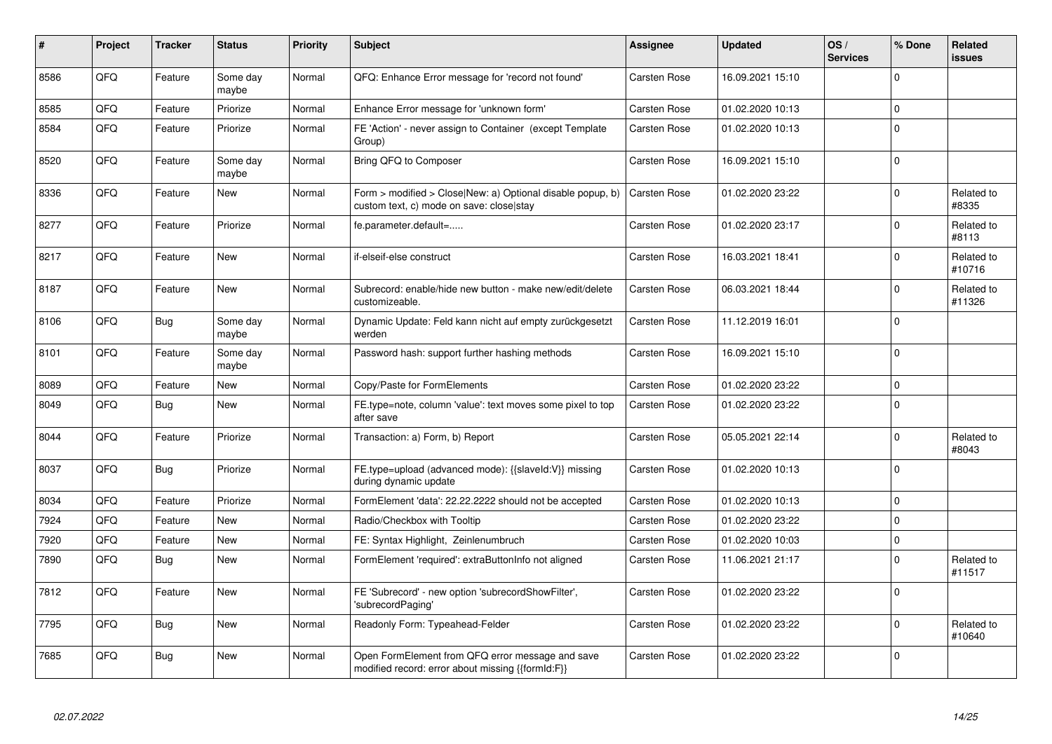| #    | Project | <b>Tracker</b> | <b>Status</b>     | <b>Priority</b> | <b>Subject</b>                                                                                         | Assignee     | <b>Updated</b>   | OS/<br><b>Services</b> | % Done      | <b>Related</b><br><b>issues</b> |
|------|---------|----------------|-------------------|-----------------|--------------------------------------------------------------------------------------------------------|--------------|------------------|------------------------|-------------|---------------------------------|
| 8586 | QFQ     | Feature        | Some day<br>maybe | Normal          | QFQ: Enhance Error message for 'record not found'                                                      | Carsten Rose | 16.09.2021 15:10 |                        | $\Omega$    |                                 |
| 8585 | QFQ     | Feature        | Priorize          | Normal          | Enhance Error message for 'unknown form'                                                               | Carsten Rose | 01.02.2020 10:13 |                        | $\Omega$    |                                 |
| 8584 | QFQ     | Feature        | Priorize          | Normal          | FE 'Action' - never assign to Container (except Template<br>Group)                                     | Carsten Rose | 01.02.2020 10:13 |                        | $\Omega$    |                                 |
| 8520 | QFQ     | Feature        | Some day<br>maybe | Normal          | Bring QFQ to Composer                                                                                  | Carsten Rose | 16.09.2021 15:10 |                        | $\mathbf 0$ |                                 |
| 8336 | QFQ     | Feature        | <b>New</b>        | Normal          | Form > modified > Close New: a) Optional disable popup, b)<br>custom text, c) mode on save: close stay | Carsten Rose | 01.02.2020 23:22 |                        | $\mathbf 0$ | Related to<br>#8335             |
| 8277 | QFQ     | Feature        | Priorize          | Normal          | fe.parameter.default=                                                                                  | Carsten Rose | 01.02.2020 23:17 |                        | $\Omega$    | Related to<br>#8113             |
| 8217 | QFQ     | Feature        | <b>New</b>        | Normal          | if-elseif-else construct                                                                               | Carsten Rose | 16.03.2021 18:41 |                        | $\Omega$    | Related to<br>#10716            |
| 8187 | QFQ     | Feature        | <b>New</b>        | Normal          | Subrecord: enable/hide new button - make new/edit/delete<br>customizeable.                             | Carsten Rose | 06.03.2021 18:44 |                        | $\mathbf 0$ | Related to<br>#11326            |
| 8106 | QFQ     | Bug            | Some day<br>maybe | Normal          | Dynamic Update: Feld kann nicht auf empty zurückgesetzt<br>werden                                      | Carsten Rose | 11.12.2019 16:01 |                        | $\Omega$    |                                 |
| 8101 | QFQ     | Feature        | Some day<br>maybe | Normal          | Password hash: support further hashing methods                                                         | Carsten Rose | 16.09.2021 15:10 |                        | $\Omega$    |                                 |
| 8089 | QFQ     | Feature        | <b>New</b>        | Normal          | Copy/Paste for FormElements                                                                            | Carsten Rose | 01.02.2020 23:22 |                        | $\mathbf 0$ |                                 |
| 8049 | QFQ     | <b>Bug</b>     | <b>New</b>        | Normal          | FE.type=note, column 'value': text moves some pixel to top<br>after save                               | Carsten Rose | 01.02.2020 23:22 |                        | $\Omega$    |                                 |
| 8044 | QFQ     | Feature        | Priorize          | Normal          | Transaction: a) Form, b) Report                                                                        | Carsten Rose | 05.05.2021 22:14 |                        | $\Omega$    | Related to<br>#8043             |
| 8037 | QFQ     | Bug            | Priorize          | Normal          | FE.type=upload (advanced mode): {{slaveld:V}} missing<br>during dynamic update                         | Carsten Rose | 01.02.2020 10:13 |                        | $\Omega$    |                                 |
| 8034 | QFQ     | Feature        | Priorize          | Normal          | FormElement 'data': 22.22.2222 should not be accepted                                                  | Carsten Rose | 01.02.2020 10:13 |                        | $\Omega$    |                                 |
| 7924 | QFQ     | Feature        | <b>New</b>        | Normal          | Radio/Checkbox with Tooltip                                                                            | Carsten Rose | 01.02.2020 23:22 |                        | $\Omega$    |                                 |
| 7920 | QFQ     | Feature        | New               | Normal          | FE: Syntax Highlight, Zeinlenumbruch                                                                   | Carsten Rose | 01.02.2020 10:03 |                        | $\mathbf 0$ |                                 |
| 7890 | QFQ     | <b>Bug</b>     | <b>New</b>        | Normal          | FormElement 'required': extraButtonInfo not aligned                                                    | Carsten Rose | 11.06.2021 21:17 |                        | $\Omega$    | Related to<br>#11517            |
| 7812 | QFQ     | Feature        | <b>New</b>        | Normal          | FE 'Subrecord' - new option 'subrecordShowFilter',<br>'subrecordPaging'                                | Carsten Rose | 01.02.2020 23:22 |                        | $\Omega$    |                                 |
| 7795 | QFQ     | Bug            | <b>New</b>        | Normal          | Readonly Form: Typeahead-Felder                                                                        | Carsten Rose | 01.02.2020 23:22 |                        | $\mathbf 0$ | Related to<br>#10640            |
| 7685 | QFQ     | Bug            | <b>New</b>        | Normal          | Open FormElement from QFQ error message and save<br>modified record: error about missing {{formId:F}}  | Carsten Rose | 01.02.2020 23:22 |                        | $\Omega$    |                                 |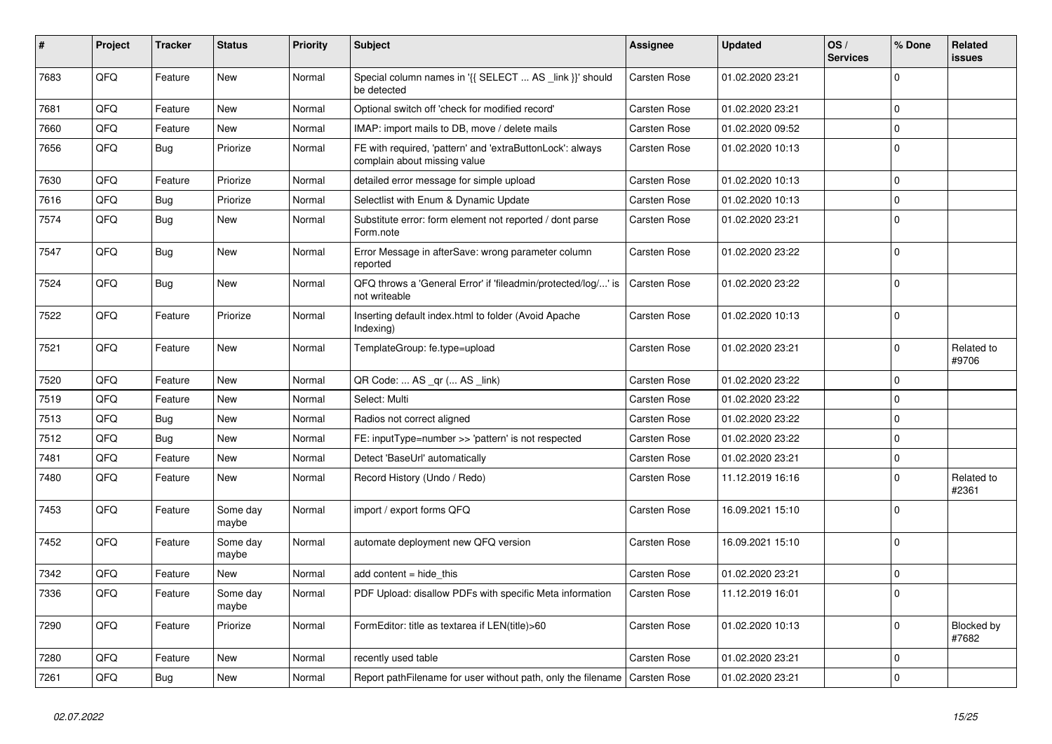| #    | Project | <b>Tracker</b> | <b>Status</b>     | <b>Priority</b> | <b>Subject</b>                                                                            | <b>Assignee</b>     | <b>Updated</b>   | OS/<br><b>Services</b> | % Done      | Related<br><b>issues</b> |
|------|---------|----------------|-------------------|-----------------|-------------------------------------------------------------------------------------------|---------------------|------------------|------------------------|-------------|--------------------------|
| 7683 | QFQ     | Feature        | New               | Normal          | Special column names in '{{ SELECT  AS _link }}' should<br>be detected                    | <b>Carsten Rose</b> | 01.02.2020 23:21 |                        | $\Omega$    |                          |
| 7681 | QFQ     | Feature        | <b>New</b>        | Normal          | Optional switch off 'check for modified record'                                           | Carsten Rose        | 01.02.2020 23:21 |                        | $\mathbf 0$ |                          |
| 7660 | QFQ     | Feature        | New               | Normal          | IMAP: import mails to DB, move / delete mails                                             | Carsten Rose        | 01.02.2020 09:52 |                        | $\mathbf 0$ |                          |
| 7656 | QFQ     | <b>Bug</b>     | Priorize          | Normal          | FE with required, 'pattern' and 'extraButtonLock': always<br>complain about missing value | Carsten Rose        | 01.02.2020 10:13 |                        | $\mathbf 0$ |                          |
| 7630 | QFQ     | Feature        | Priorize          | Normal          | detailed error message for simple upload                                                  | Carsten Rose        | 01.02.2020 10:13 |                        | $\pmb{0}$   |                          |
| 7616 | QFQ     | <b>Bug</b>     | Priorize          | Normal          | Selectlist with Enum & Dynamic Update                                                     | Carsten Rose        | 01.02.2020 10:13 |                        | $\mathbf 0$ |                          |
| 7574 | QFQ     | Bug            | New               | Normal          | Substitute error: form element not reported / dont parse<br>Form.note                     | Carsten Rose        | 01.02.2020 23:21 |                        | $\mathbf 0$ |                          |
| 7547 | QFQ     | <b>Bug</b>     | <b>New</b>        | Normal          | Error Message in afterSave: wrong parameter column<br>reported                            | Carsten Rose        | 01.02.2020 23:22 |                        | $\mathbf 0$ |                          |
| 7524 | QFQ     | <b>Bug</b>     | <b>New</b>        | Normal          | QFQ throws a 'General Error' if 'fileadmin/protected/log/' is<br>not writeable            | Carsten Rose        | 01.02.2020 23:22 |                        | $\mathbf 0$ |                          |
| 7522 | QFQ     | Feature        | Priorize          | Normal          | Inserting default index.html to folder (Avoid Apache<br>Indexing)                         | Carsten Rose        | 01.02.2020 10:13 |                        | $\mathbf 0$ |                          |
| 7521 | QFQ     | Feature        | New               | Normal          | TemplateGroup: fe.type=upload                                                             | Carsten Rose        | 01.02.2020 23:21 |                        | $\mathbf 0$ | Related to<br>#9706      |
| 7520 | QFQ     | Feature        | New               | Normal          | QR Code:  AS _qr ( AS _link)                                                              | <b>Carsten Rose</b> | 01.02.2020 23:22 |                        | $\mathbf 0$ |                          |
| 7519 | QFQ     | Feature        | <b>New</b>        | Normal          | Select: Multi                                                                             | Carsten Rose        | 01.02.2020 23:22 |                        | $\mathbf 0$ |                          |
| 7513 | QFQ     | <b>Bug</b>     | New               | Normal          | Radios not correct aligned                                                                | <b>Carsten Rose</b> | 01.02.2020 23:22 |                        | $\mathbf 0$ |                          |
| 7512 | QFQ     | <b>Bug</b>     | <b>New</b>        | Normal          | FE: inputType=number >> 'pattern' is not respected                                        | Carsten Rose        | 01.02.2020 23:22 |                        | $\mathbf 0$ |                          |
| 7481 | QFQ     | Feature        | New               | Normal          | Detect 'BaseUrl' automatically                                                            | <b>Carsten Rose</b> | 01.02.2020 23:21 |                        | $\mathbf 0$ |                          |
| 7480 | QFQ     | Feature        | <b>New</b>        | Normal          | Record History (Undo / Redo)                                                              | Carsten Rose        | 11.12.2019 16:16 |                        | $\Omega$    | Related to<br>#2361      |
| 7453 | QFQ     | Feature        | Some day<br>maybe | Normal          | import / export forms QFQ                                                                 | Carsten Rose        | 16.09.2021 15:10 |                        | $\mathbf 0$ |                          |
| 7452 | QFQ     | Feature        | Some day<br>maybe | Normal          | automate deployment new QFQ version                                                       | Carsten Rose        | 16.09.2021 15:10 |                        | $\mathbf 0$ |                          |
| 7342 | QFQ     | Feature        | <b>New</b>        | Normal          | add content = hide this                                                                   | <b>Carsten Rose</b> | 01.02.2020 23:21 |                        | $\pmb{0}$   |                          |
| 7336 | QFQ     | Feature        | Some day<br>maybe | Normal          | PDF Upload: disallow PDFs with specific Meta information                                  | Carsten Rose        | 11.12.2019 16:01 |                        | $\mathbf 0$ |                          |
| 7290 | QFQ     | Feature        | Priorize          | Normal          | FormEditor: title as textarea if LEN(title)>60                                            | <b>Carsten Rose</b> | 01.02.2020 10:13 |                        | $\mathbf 0$ | Blocked by<br>#7682      |
| 7280 | QFQ     | Feature        | New               | Normal          | recently used table                                                                       | <b>Carsten Rose</b> | 01.02.2020 23:21 |                        | $\mathbf 0$ |                          |
| 7261 | QFQ     | <b>Bug</b>     | New               | Normal          | Report pathFilename for user without path, only the filename                              | <b>Carsten Rose</b> | 01.02.2020 23:21 |                        | $\mathbf 0$ |                          |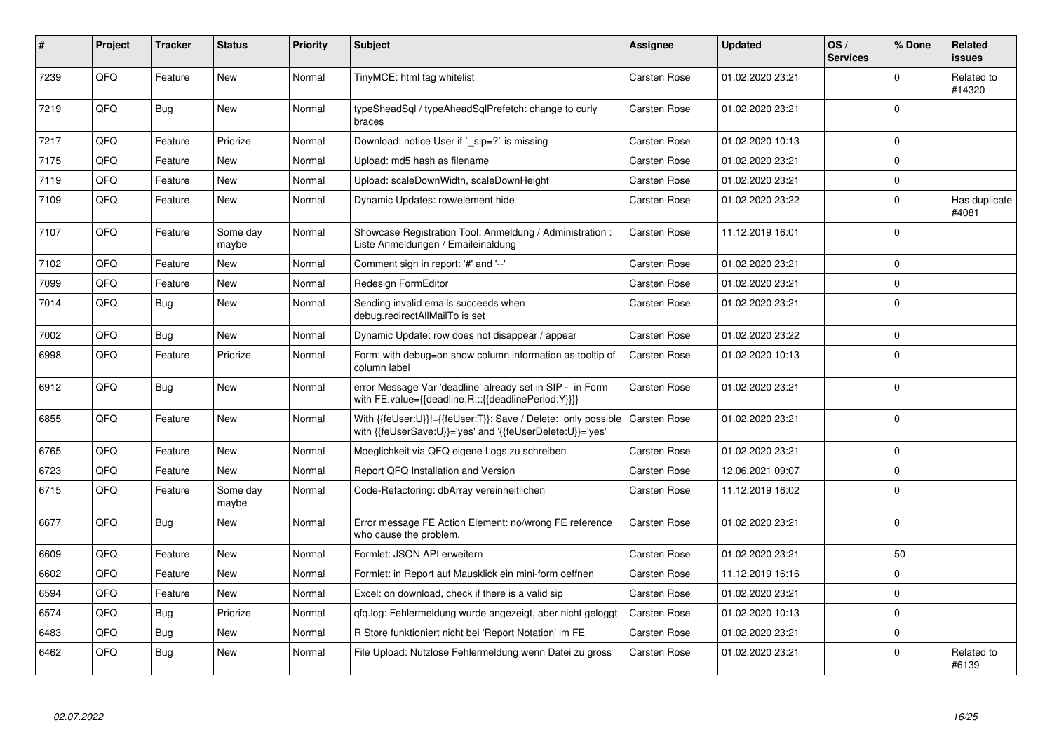| $\pmb{\#}$ | Project | <b>Tracker</b> | <b>Status</b>     | <b>Priority</b> | <b>Subject</b>                                                                                                             | Assignee            | <b>Updated</b>   | OS/<br><b>Services</b> | % Done      | Related<br>issues      |
|------------|---------|----------------|-------------------|-----------------|----------------------------------------------------------------------------------------------------------------------------|---------------------|------------------|------------------------|-------------|------------------------|
| 7239       | QFQ     | Feature        | <b>New</b>        | Normal          | TinyMCE: html tag whitelist                                                                                                | Carsten Rose        | 01.02.2020 23:21 |                        | $\Omega$    | Related to<br>#14320   |
| 7219       | QFQ     | <b>Bug</b>     | New               | Normal          | typeSheadSql / typeAheadSqlPrefetch: change to curly<br>braces                                                             | Carsten Rose        | 01.02.2020 23:21 |                        | $\Omega$    |                        |
| 7217       | QFQ     | Feature        | Priorize          | Normal          | Download: notice User if ` sip=?` is missing                                                                               | Carsten Rose        | 01.02.2020 10:13 |                        | 0           |                        |
| 7175       | QFQ     | Feature        | <b>New</b>        | Normal          | Upload: md5 hash as filename                                                                                               | Carsten Rose        | 01.02.2020 23:21 |                        | $\Omega$    |                        |
| 7119       | QFQ     | Feature        | New               | Normal          | Upload: scaleDownWidth, scaleDownHeight                                                                                    | Carsten Rose        | 01.02.2020 23:21 |                        | 0           |                        |
| 7109       | QFQ     | Feature        | New               | Normal          | Dynamic Updates: row/element hide                                                                                          | Carsten Rose        | 01.02.2020 23:22 |                        | $\mathbf 0$ | Has duplicate<br>#4081 |
| 7107       | QFQ     | Feature        | Some day<br>maybe | Normal          | Showcase Registration Tool: Anmeldung / Administration :<br>Liste Anmeldungen / Emaileinaldung                             | Carsten Rose        | 11.12.2019 16:01 |                        | $\Omega$    |                        |
| 7102       | QFQ     | Feature        | New               | Normal          | Comment sign in report: '#' and '--'                                                                                       | Carsten Rose        | 01.02.2020 23:21 |                        | $\Omega$    |                        |
| 7099       | QFQ     | Feature        | New               | Normal          | Redesign FormEditor                                                                                                        | Carsten Rose        | 01.02.2020 23:21 |                        | 0           |                        |
| 7014       | QFQ     | Bug            | New               | Normal          | Sending invalid emails succeeds when<br>debug.redirectAllMailTo is set                                                     | Carsten Rose        | 01.02.2020 23:21 |                        | 0           |                        |
| 7002       | QFQ     | <b>Bug</b>     | New               | Normal          | Dynamic Update: row does not disappear / appear                                                                            | Carsten Rose        | 01.02.2020 23:22 |                        | 0           |                        |
| 6998       | QFQ     | Feature        | Priorize          | Normal          | Form: with debug=on show column information as tooltip of<br>column label                                                  | Carsten Rose        | 01.02.2020 10:13 |                        | 0           |                        |
| 6912       | QFQ     | <b>Bug</b>     | New               | Normal          | error Message Var 'deadline' already set in SIP - in Form<br>with FE.value={{deadline:R:::{{deadlinePeriod:Y}}}}           | Carsten Rose        | 01.02.2020 23:21 |                        | $\Omega$    |                        |
| 6855       | QFQ     | Feature        | <b>New</b>        | Normal          | With {{feUser:U}}!={{feUser:T}}: Save / Delete: only possible<br>with {{feUserSave:U}}='yes' and '{{feUserDelete:U}}='yes' | <b>Carsten Rose</b> | 01.02.2020 23:21 |                        | $\Omega$    |                        |
| 6765       | QFQ     | Feature        | New               | Normal          | Moeglichkeit via QFQ eigene Logs zu schreiben                                                                              | Carsten Rose        | 01.02.2020 23:21 |                        | 0           |                        |
| 6723       | QFQ     | Feature        | <b>New</b>        | Normal          | Report QFQ Installation and Version                                                                                        | Carsten Rose        | 12.06.2021 09:07 |                        | $\Omega$    |                        |
| 6715       | QFQ     | Feature        | Some day<br>maybe | Normal          | Code-Refactoring: dbArray vereinheitlichen                                                                                 | <b>Carsten Rose</b> | 11.12.2019 16:02 |                        | $\Omega$    |                        |
| 6677       | QFQ     | <b>Bug</b>     | <b>New</b>        | Normal          | Error message FE Action Element: no/wrong FE reference<br>who cause the problem.                                           | Carsten Rose        | 01.02.2020 23:21 |                        | $\Omega$    |                        |
| 6609       | QFQ     | Feature        | <b>New</b>        | Normal          | Formlet: JSON API erweitern                                                                                                | Carsten Rose        | 01.02.2020 23:21 |                        | 50          |                        |
| 6602       | QFQ     | Feature        | <b>New</b>        | Normal          | Formlet: in Report auf Mausklick ein mini-form oeffnen                                                                     | <b>Carsten Rose</b> | 11.12.2019 16:16 |                        | 0           |                        |
| 6594       | QFQ     | Feature        | New               | Normal          | Excel: on download, check if there is a valid sip                                                                          | Carsten Rose        | 01.02.2020 23:21 |                        | 0           |                        |
| 6574       | QFQ     | Bug            | Priorize          | Normal          | gfg.log: Fehlermeldung wurde angezeigt, aber nicht geloggt                                                                 | Carsten Rose        | 01.02.2020 10:13 |                        | 0           |                        |
| 6483       | QFQ     | <b>Bug</b>     | <b>New</b>        | Normal          | R Store funktioniert nicht bei 'Report Notation' im FE                                                                     | Carsten Rose        | 01.02.2020 23:21 |                        | 0           |                        |
| 6462       | QFQ     | Bug            | New               | Normal          | File Upload: Nutzlose Fehlermeldung wenn Datei zu gross                                                                    | <b>Carsten Rose</b> | 01.02.2020 23:21 |                        | $\mathbf 0$ | Related to<br>#6139    |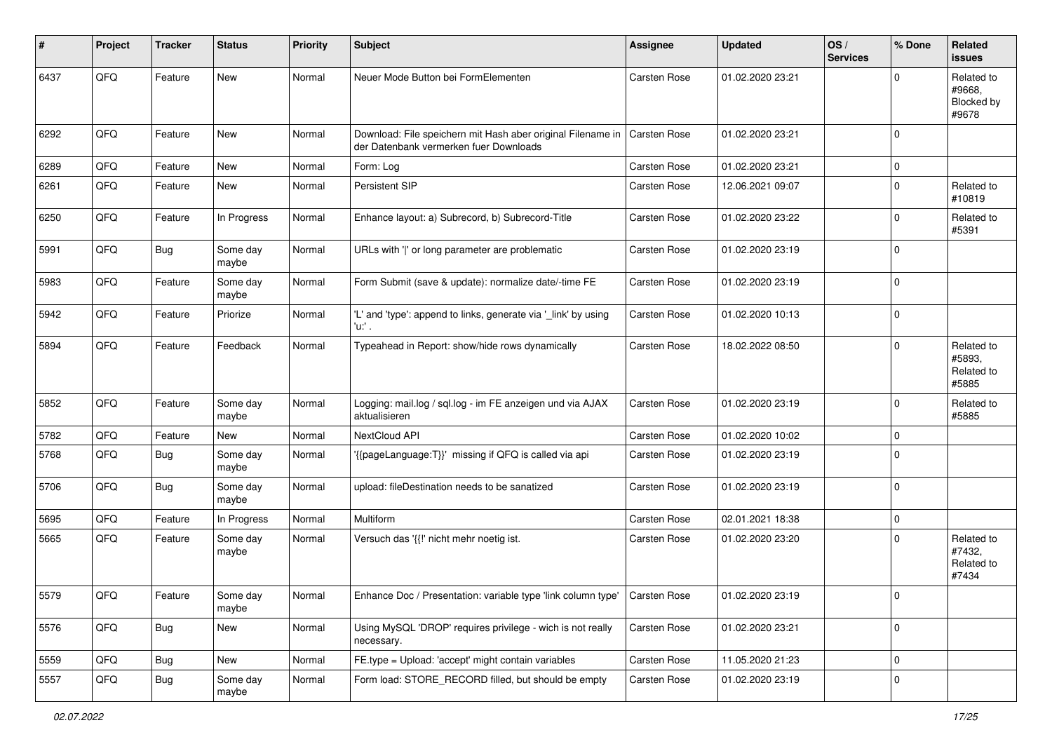| #    | Project | <b>Tracker</b> | <b>Status</b>     | <b>Priority</b> | <b>Subject</b>                                                                                        | <b>Assignee</b>     | <b>Updated</b>   | OS/<br><b>Services</b> | % Done      | Related<br>issues                           |
|------|---------|----------------|-------------------|-----------------|-------------------------------------------------------------------------------------------------------|---------------------|------------------|------------------------|-------------|---------------------------------------------|
| 6437 | QFQ     | Feature        | New               | Normal          | Neuer Mode Button bei FormElementen                                                                   | <b>Carsten Rose</b> | 01.02.2020 23:21 |                        | $\Omega$    | Related to<br>#9668.<br>Blocked by<br>#9678 |
| 6292 | QFQ     | Feature        | New               | Normal          | Download: File speichern mit Hash aber original Filename in<br>der Datenbank vermerken fuer Downloads | <b>Carsten Rose</b> | 01.02.2020 23:21 |                        | $\Omega$    |                                             |
| 6289 | QFQ     | Feature        | New               | Normal          | Form: Log                                                                                             | <b>Carsten Rose</b> | 01.02.2020 23:21 |                        | $\mathbf 0$ |                                             |
| 6261 | QFQ     | Feature        | New               | Normal          | Persistent SIP                                                                                        | Carsten Rose        | 12.06.2021 09:07 |                        | $\mathbf 0$ | Related to<br>#10819                        |
| 6250 | QFQ     | Feature        | In Progress       | Normal          | Enhance layout: a) Subrecord, b) Subrecord-Title                                                      | Carsten Rose        | 01.02.2020 23:22 |                        | $\mathbf 0$ | Related to<br>#5391                         |
| 5991 | QFQ     | Bug            | Some day<br>maybe | Normal          | URLs with ' ' or long parameter are problematic                                                       | Carsten Rose        | 01.02.2020 23:19 |                        | $\Omega$    |                                             |
| 5983 | QFQ     | Feature        | Some day<br>maybe | Normal          | Form Submit (save & update): normalize date/-time FE                                                  | <b>Carsten Rose</b> | 01.02.2020 23:19 |                        | $\Omega$    |                                             |
| 5942 | QFQ     | Feature        | Priorize          | Normal          | 'L' and 'type': append to links, generate via '_link' by using<br>'u:' .                              | Carsten Rose        | 01.02.2020 10:13 |                        | $\mathbf 0$ |                                             |
| 5894 | QFQ     | Feature        | Feedback          | Normal          | Typeahead in Report: show/hide rows dynamically                                                       | Carsten Rose        | 18.02.2022 08:50 |                        | $\Omega$    | Related to<br>#5893.<br>Related to<br>#5885 |
| 5852 | QFQ     | Feature        | Some day<br>maybe | Normal          | Logging: mail.log / sql.log - im FE anzeigen und via AJAX<br>aktualisieren                            | <b>Carsten Rose</b> | 01.02.2020 23:19 |                        | $\mathbf 0$ | Related to<br>#5885                         |
| 5782 | QFQ     | Feature        | New               | Normal          | NextCloud API                                                                                         | <b>Carsten Rose</b> | 01.02.2020 10:02 |                        | $\mathbf 0$ |                                             |
| 5768 | QFQ     | Bug            | Some day<br>maybe | Normal          | '{{pageLanguage:T}}' missing if QFQ is called via api                                                 | Carsten Rose        | 01.02.2020 23:19 |                        | $\Omega$    |                                             |
| 5706 | QFQ     | <b>Bug</b>     | Some day<br>maybe | Normal          | upload: fileDestination needs to be sanatized                                                         | Carsten Rose        | 01.02.2020 23:19 |                        | $\mathbf 0$ |                                             |
| 5695 | QFQ     | Feature        | In Progress       | Normal          | Multiform                                                                                             | <b>Carsten Rose</b> | 02.01.2021 18:38 |                        | $\mathbf 0$ |                                             |
| 5665 | QFQ     | Feature        | Some day<br>maybe | Normal          | Versuch das '{{!' nicht mehr noetig ist.                                                              | Carsten Rose        | 01.02.2020 23:20 |                        | $\Omega$    | Related to<br>#7432,<br>Related to<br>#7434 |
| 5579 | QFQ     | Feature        | Some day<br>maybe | Normal          | Enhance Doc / Presentation: variable type 'link column type'   Carsten Rose                           |                     | 01.02.2020 23:19 |                        | 0           |                                             |
| 5576 | QFQ     | <b>Bug</b>     | New               | Normal          | Using MySQL 'DROP' requires privilege - wich is not really<br>necessary.                              | Carsten Rose        | 01.02.2020 23:21 |                        | $\mathbf 0$ |                                             |
| 5559 | QFQ     | Bug            | New               | Normal          | FE.type = Upload: 'accept' might contain variables                                                    | Carsten Rose        | 11.05.2020 21:23 |                        | 0           |                                             |
| 5557 | QFQ     | Bug            | Some day<br>maybe | Normal          | Form load: STORE_RECORD filled, but should be empty                                                   | Carsten Rose        | 01.02.2020 23:19 |                        | $\mathbf 0$ |                                             |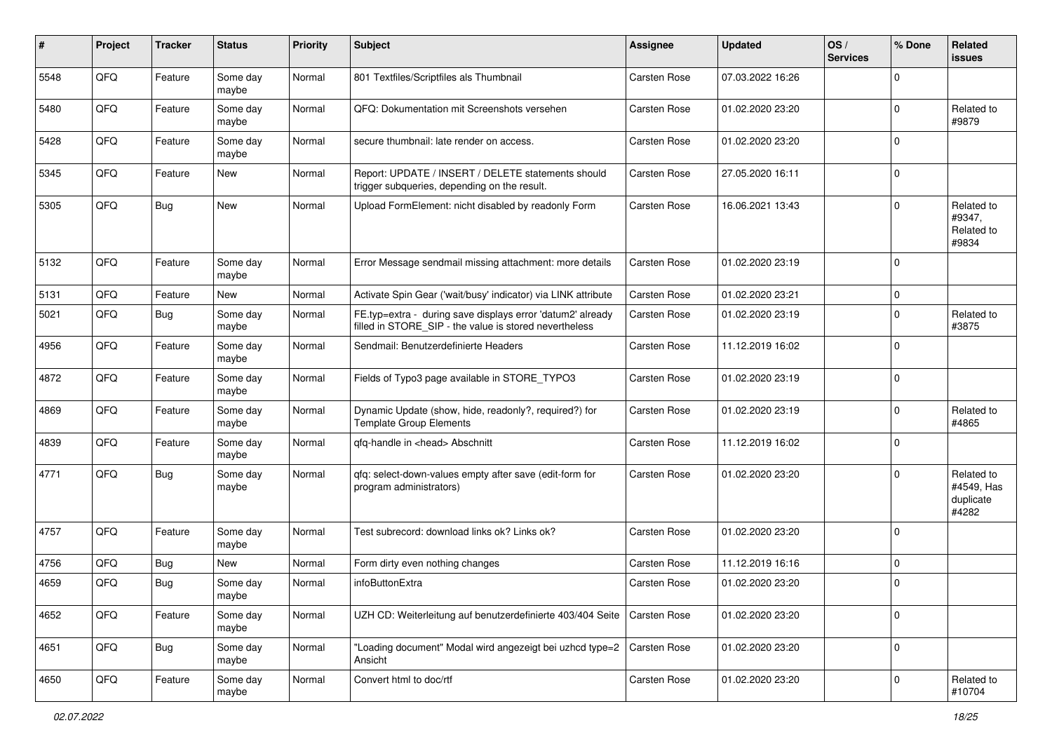| ∦    | Project        | <b>Tracker</b> | <b>Status</b>     | <b>Priority</b> | <b>Subject</b>                                                                                                       | <b>Assignee</b>     | <b>Updated</b>   | OS/<br><b>Services</b> | % Done      | Related<br><b>issues</b>                       |
|------|----------------|----------------|-------------------|-----------------|----------------------------------------------------------------------------------------------------------------------|---------------------|------------------|------------------------|-------------|------------------------------------------------|
| 5548 | QFQ            | Feature        | Some day<br>maybe | Normal          | 801 Textfiles/Scriptfiles als Thumbnail                                                                              | Carsten Rose        | 07.03.2022 16:26 |                        | $\Omega$    |                                                |
| 5480 | QFQ            | Feature        | Some day<br>maybe | Normal          | QFQ: Dokumentation mit Screenshots versehen                                                                          | Carsten Rose        | 01.02.2020 23:20 |                        | $\mathbf 0$ | Related to<br>#9879                            |
| 5428 | QFQ            | Feature        | Some day<br>maybe | Normal          | secure thumbnail: late render on access.                                                                             | Carsten Rose        | 01.02.2020 23:20 |                        | $\Omega$    |                                                |
| 5345 | QFQ            | Feature        | New               | Normal          | Report: UPDATE / INSERT / DELETE statements should<br>trigger subqueries, depending on the result.                   | Carsten Rose        | 27.05.2020 16:11 |                        | $\mathbf 0$ |                                                |
| 5305 | QFQ            | <b>Bug</b>     | New               | Normal          | Upload FormElement: nicht disabled by readonly Form                                                                  | Carsten Rose        | 16.06.2021 13:43 |                        | $\Omega$    | Related to<br>#9347,<br>Related to<br>#9834    |
| 5132 | QFQ            | Feature        | Some day<br>maybe | Normal          | Error Message sendmail missing attachment: more details                                                              | <b>Carsten Rose</b> | 01.02.2020 23:19 |                        | $\mathbf 0$ |                                                |
| 5131 | QFQ            | Feature        | New               | Normal          | Activate Spin Gear ('wait/busy' indicator) via LINK attribute                                                        | <b>Carsten Rose</b> | 01.02.2020 23:21 |                        | $\mathbf 0$ |                                                |
| 5021 | QFQ            | <b>Bug</b>     | Some day<br>maybe | Normal          | FE.typ=extra - during save displays error 'datum2' already<br>filled in STORE SIP - the value is stored nevertheless | Carsten Rose        | 01.02.2020 23:19 |                        | $\mathbf 0$ | Related to<br>#3875                            |
| 4956 | QFQ            | Feature        | Some day<br>maybe | Normal          | Sendmail: Benutzerdefinierte Headers                                                                                 | <b>Carsten Rose</b> | 11.12.2019 16:02 |                        | $\mathbf 0$ |                                                |
| 4872 | QFQ            | Feature        | Some day<br>maybe | Normal          | Fields of Typo3 page available in STORE_TYPO3                                                                        | Carsten Rose        | 01.02.2020 23:19 |                        | $\mathbf 0$ |                                                |
| 4869 | QFQ            | Feature        | Some day<br>maybe | Normal          | Dynamic Update (show, hide, readonly?, required?) for<br><b>Template Group Elements</b>                              | <b>Carsten Rose</b> | 01.02.2020 23:19 |                        | $\Omega$    | Related to<br>#4865                            |
| 4839 | QFQ            | Feature        | Some day<br>maybe | Normal          | qfq-handle in <head> Abschnitt</head>                                                                                | Carsten Rose        | 11.12.2019 16:02 |                        | $\mathbf 0$ |                                                |
| 4771 | QFQ            | <b>Bug</b>     | Some day<br>maybe | Normal          | qfq: select-down-values empty after save (edit-form for<br>program administrators)                                   | <b>Carsten Rose</b> | 01.02.2020 23:20 |                        | $\Omega$    | Related to<br>#4549, Has<br>duplicate<br>#4282 |
| 4757 | QFQ            | Feature        | Some day<br>maybe | Normal          | Test subrecord: download links ok? Links ok?                                                                         | Carsten Rose        | 01.02.2020 23:20 |                        | $\mathbf 0$ |                                                |
| 4756 | QFQ            | <b>Bug</b>     | New               | Normal          | Form dirty even nothing changes                                                                                      | Carsten Rose        | 11.12.2019 16:16 |                        | $\mathbf 0$ |                                                |
| 4659 | QFQ            | <b>Bug</b>     | Some day<br>maybe | Normal          | infoButtonExtra                                                                                                      | Carsten Rose        | 01.02.2020 23:20 |                        | $\mathbf 0$ |                                                |
| 4652 | QFQ            | Feature        | Some day<br>maybe | Normal          | UZH CD: Weiterleitung auf benutzerdefinierte 403/404 Seite                                                           | Carsten Rose        | 01.02.2020 23:20 |                        | 0           |                                                |
| 4651 | QFO            | <b>Bug</b>     | Some day<br>maybe | Normal          | "Loading document" Modal wird angezeigt bei uzhcd type=2   Carsten Rose<br>Ansicht                                   |                     | 01.02.2020 23:20 |                        | $\pmb{0}$   |                                                |
| 4650 | $\mathsf{QFQ}$ | Feature        | Some day<br>maybe | Normal          | Convert html to doc/rtf                                                                                              | Carsten Rose        | 01.02.2020 23:20 |                        | $\pmb{0}$   | Related to<br>#10704                           |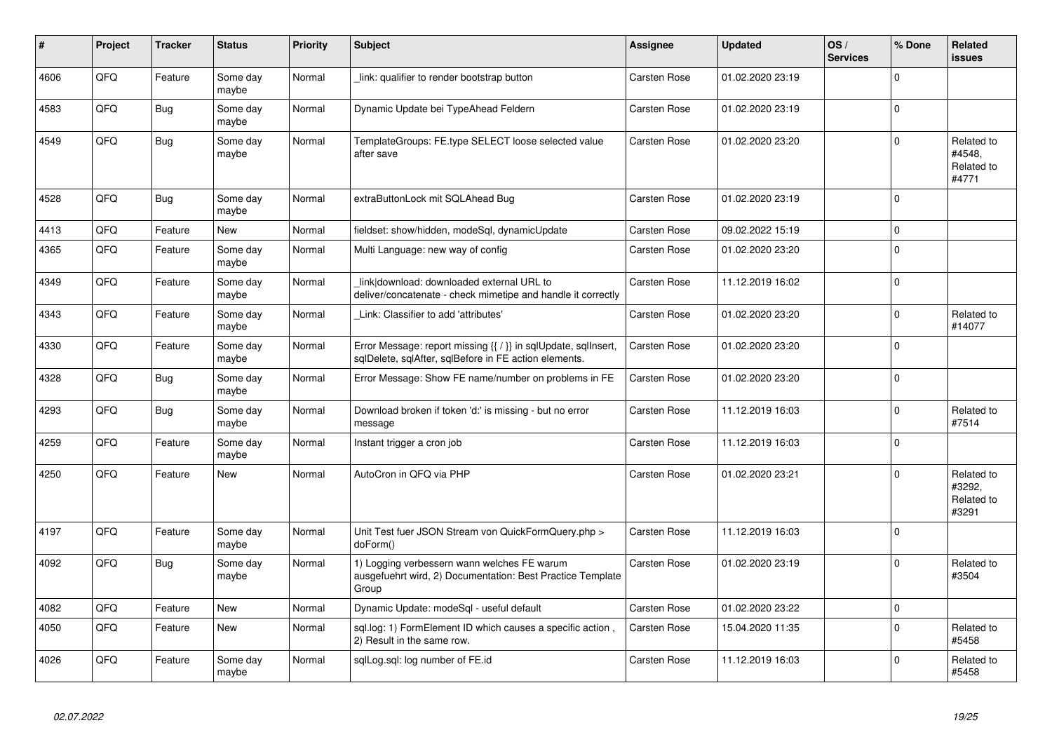| #    | Project | <b>Tracker</b> | <b>Status</b>     | <b>Priority</b> | <b>Subject</b>                                                                                                          | Assignee     | <b>Updated</b>   | OS/<br><b>Services</b> | % Done      | Related<br><b>issues</b>                    |
|------|---------|----------------|-------------------|-----------------|-------------------------------------------------------------------------------------------------------------------------|--------------|------------------|------------------------|-------------|---------------------------------------------|
| 4606 | QFQ     | Feature        | Some day<br>maybe | Normal          | link: qualifier to render bootstrap button                                                                              | Carsten Rose | 01.02.2020 23:19 |                        | $\mathbf 0$ |                                             |
| 4583 | QFQ     | Bug            | Some day<br>maybe | Normal          | Dynamic Update bei TypeAhead Feldern                                                                                    | Carsten Rose | 01.02.2020 23:19 |                        | $\mathbf 0$ |                                             |
| 4549 | QFQ     | <b>Bug</b>     | Some day<br>maybe | Normal          | TemplateGroups: FE.type SELECT loose selected value<br>after save                                                       | Carsten Rose | 01.02.2020 23:20 |                        | $\mathbf 0$ | Related to<br>#4548.<br>Related to<br>#4771 |
| 4528 | QFQ     | Bug            | Some day<br>maybe | Normal          | extraButtonLock mit SQLAhead Bug                                                                                        | Carsten Rose | 01.02.2020 23:19 |                        | $\Omega$    |                                             |
| 4413 | QFQ     | Feature        | <b>New</b>        | Normal          | fieldset: show/hidden, modeSql, dynamicUpdate                                                                           | Carsten Rose | 09.02.2022 15:19 |                        | $\mathbf 0$ |                                             |
| 4365 | QFQ     | Feature        | Some day<br>maybe | Normal          | Multi Language: new way of config                                                                                       | Carsten Rose | 01.02.2020 23:20 |                        | $\mathbf 0$ |                                             |
| 4349 | QFQ     | Feature        | Some day<br>maybe | Normal          | link download: downloaded external URL to<br>deliver/concatenate - check mimetipe and handle it correctly               | Carsten Rose | 11.12.2019 16:02 |                        | $\mathbf 0$ |                                             |
| 4343 | QFQ     | Feature        | Some day<br>maybe | Normal          | Link: Classifier to add 'attributes'                                                                                    | Carsten Rose | 01.02.2020 23:20 |                        | $\mathbf 0$ | Related to<br>#14077                        |
| 4330 | QFQ     | Feature        | Some day<br>maybe | Normal          | Error Message: report missing {{ / }} in sqlUpdate, sqlInsert,<br>sqlDelete, sqlAfter, sqlBefore in FE action elements. | Carsten Rose | 01.02.2020 23:20 |                        | $\mathbf 0$ |                                             |
| 4328 | QFQ     | Bug            | Some day<br>maybe | Normal          | Error Message: Show FE name/number on problems in FE                                                                    | Carsten Rose | 01.02.2020 23:20 |                        | $\mathbf 0$ |                                             |
| 4293 | QFQ     | Bug            | Some day<br>maybe | Normal          | Download broken if token 'd:' is missing - but no error<br>message                                                      | Carsten Rose | 11.12.2019 16:03 |                        | $\mathbf 0$ | Related to<br>#7514                         |
| 4259 | QFQ     | Feature        | Some day<br>maybe | Normal          | Instant trigger a cron job                                                                                              | Carsten Rose | 11.12.2019 16:03 |                        | $\Omega$    |                                             |
| 4250 | QFQ     | Feature        | <b>New</b>        | Normal          | AutoCron in QFQ via PHP                                                                                                 | Carsten Rose | 01.02.2020 23:21 |                        | $\Omega$    | Related to<br>#3292,<br>Related to<br>#3291 |
| 4197 | QFQ     | Feature        | Some day<br>maybe | Normal          | Unit Test fuer JSON Stream von QuickFormQuery.php ><br>doForm()                                                         | Carsten Rose | 11.12.2019 16:03 |                        | $\mathbf 0$ |                                             |
| 4092 | QFQ     | Bug            | Some day<br>maybe | Normal          | 1) Logging verbessern wann welches FE warum<br>ausgefuehrt wird, 2) Documentation: Best Practice Template<br>Group      | Carsten Rose | 01.02.2020 23:19 |                        | $\Omega$    | Related to<br>#3504                         |
| 4082 | QFQ     | Feature        | <b>New</b>        | Normal          | Dynamic Update: modeSql - useful default                                                                                | Carsten Rose | 01.02.2020 23:22 |                        | $\pmb{0}$   |                                             |
| 4050 | QFQ     | Feature        | <b>New</b>        | Normal          | sql.log: 1) FormElement ID which causes a specific action,<br>2) Result in the same row.                                | Carsten Rose | 15.04.2020 11:35 |                        | $\Omega$    | Related to<br>#5458                         |
| 4026 | QFQ     | Feature        | Some day<br>maybe | Normal          | sqlLog.sql: log number of FE.id                                                                                         | Carsten Rose | 11.12.2019 16:03 |                        | $\Omega$    | Related to<br>#5458                         |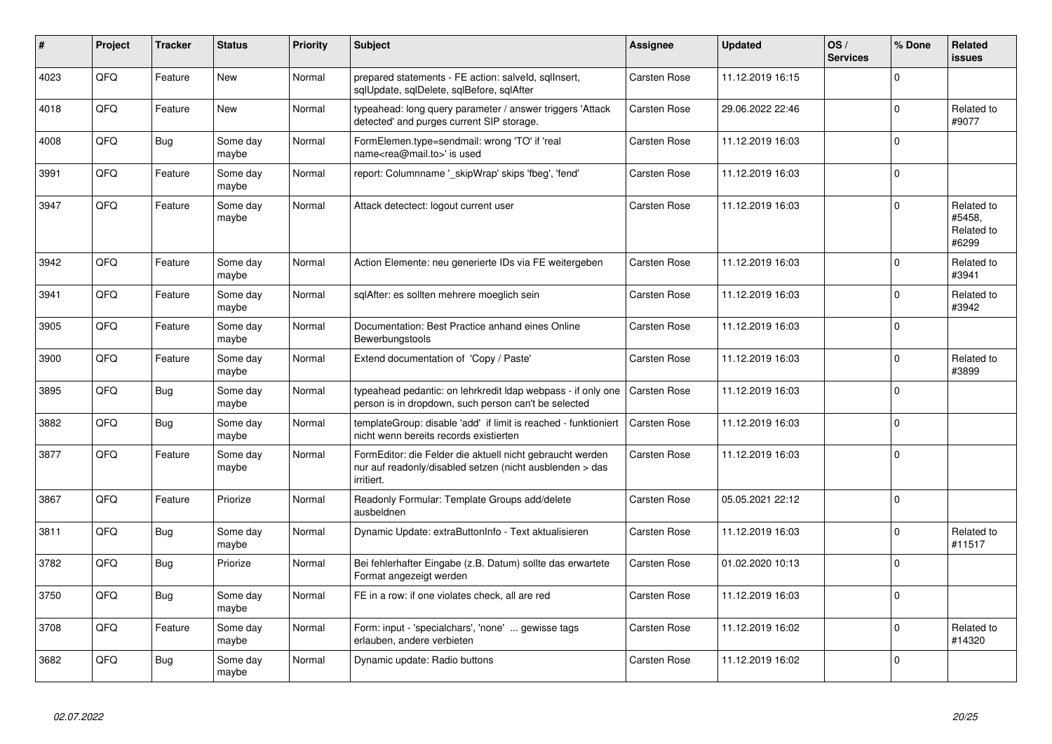| #    | Project | <b>Tracker</b> | <b>Status</b>     | <b>Priority</b> | <b>Subject</b>                                                                                                                      | Assignee     | <b>Updated</b>   | OS/<br><b>Services</b> | % Done      | Related<br><b>issues</b>                    |
|------|---------|----------------|-------------------|-----------------|-------------------------------------------------------------------------------------------------------------------------------------|--------------|------------------|------------------------|-------------|---------------------------------------------|
| 4023 | QFQ     | Feature        | <b>New</b>        | Normal          | prepared statements - FE action: salveld, sqlInsert,<br>sqlUpdate, sqlDelete, sqlBefore, sqlAfter                                   | Carsten Rose | 11.12.2019 16:15 |                        | $\Omega$    |                                             |
| 4018 | QFQ     | Feature        | <b>New</b>        | Normal          | typeahead: long query parameter / answer triggers 'Attack<br>detected' and purges current SIP storage.                              | Carsten Rose | 29.06.2022 22:46 |                        | $\mathbf 0$ | Related to<br>#9077                         |
| 4008 | QFQ     | <b>Bug</b>     | Some day<br>maybe | Normal          | FormElemen.type=sendmail: wrong 'TO' if 'real<br>name <rea@mail.to>' is used</rea@mail.to>                                          | Carsten Rose | 11.12.2019 16:03 |                        | $\mathbf 0$ |                                             |
| 3991 | QFQ     | Feature        | Some day<br>maybe | Normal          | report: Columnname ' skipWrap' skips 'fbeg', 'fend'                                                                                 | Carsten Rose | 11.12.2019 16:03 |                        | $\mathbf 0$ |                                             |
| 3947 | QFQ     | Feature        | Some day<br>maybe | Normal          | Attack detectect: logout current user                                                                                               | Carsten Rose | 11.12.2019 16:03 |                        | $\Omega$    | Related to<br>#5458,<br>Related to<br>#6299 |
| 3942 | QFQ     | Feature        | Some day<br>maybe | Normal          | Action Elemente: neu generierte IDs via FE weitergeben                                                                              | Carsten Rose | 11.12.2019 16:03 |                        | $\Omega$    | Related to<br>#3941                         |
| 3941 | QFQ     | Feature        | Some day<br>maybe | Normal          | sqlAfter: es sollten mehrere moeglich sein                                                                                          | Carsten Rose | 11.12.2019 16:03 |                        | $\Omega$    | Related to<br>#3942                         |
| 3905 | QFQ     | Feature        | Some day<br>maybe | Normal          | Documentation: Best Practice anhand eines Online<br>Bewerbungstools                                                                 | Carsten Rose | 11.12.2019 16:03 |                        | $\mathbf 0$ |                                             |
| 3900 | QFQ     | Feature        | Some day<br>maybe | Normal          | Extend documentation of 'Copy / Paste'                                                                                              | Carsten Rose | 11.12.2019 16:03 |                        | $\mathbf 0$ | Related to<br>#3899                         |
| 3895 | QFQ     | <b>Bug</b>     | Some day<br>maybe | Normal          | typeahead pedantic: on lehrkredit Idap webpass - if only one<br>person is in dropdown, such person can't be selected                | Carsten Rose | 11.12.2019 16:03 |                        | $\Omega$    |                                             |
| 3882 | QFQ     | Bug            | Some day<br>maybe | Normal          | templateGroup: disable 'add' if limit is reached - funktioniert<br>nicht wenn bereits records existierten                           | Carsten Rose | 11.12.2019 16:03 |                        | $\Omega$    |                                             |
| 3877 | QFQ     | Feature        | Some day<br>maybe | Normal          | FormEditor: die Felder die aktuell nicht gebraucht werden<br>nur auf readonly/disabled setzen (nicht ausblenden > das<br>irritiert. | Carsten Rose | 11.12.2019 16:03 |                        | $\Omega$    |                                             |
| 3867 | QFQ     | Feature        | Priorize          | Normal          | Readonly Formular: Template Groups add/delete<br>ausbeldnen                                                                         | Carsten Rose | 05.05.2021 22:12 |                        | $\mathbf 0$ |                                             |
| 3811 | QFQ     | Bug            | Some day<br>maybe | Normal          | Dynamic Update: extraButtonInfo - Text aktualisieren                                                                                | Carsten Rose | 11.12.2019 16:03 |                        | $\mathbf 0$ | Related to<br>#11517                        |
| 3782 | QFQ     | Bug            | Priorize          | Normal          | Bei fehlerhafter Eingabe (z.B. Datum) sollte das erwartete<br>Format angezeigt werden                                               | Carsten Rose | 01.02.2020 10:13 |                        | $\Omega$    |                                             |
| 3750 | QFQ     | Bug            | Some day<br>maybe | Normal          | FE in a row: if one violates check, all are red                                                                                     | Carsten Rose | 11.12.2019 16:03 |                        | $\Omega$    |                                             |
| 3708 | QFQ     | Feature        | Some day<br>maybe | Normal          | Form: input - 'specialchars', 'none'  gewisse tags<br>erlauben, andere verbieten                                                    | Carsten Rose | 11.12.2019 16:02 |                        | $\mathbf 0$ | Related to<br>#14320                        |
| 3682 | QFQ     | <b>Bug</b>     | Some day<br>maybe | Normal          | Dynamic update: Radio buttons                                                                                                       | Carsten Rose | 11.12.2019 16:02 |                        | $\Omega$    |                                             |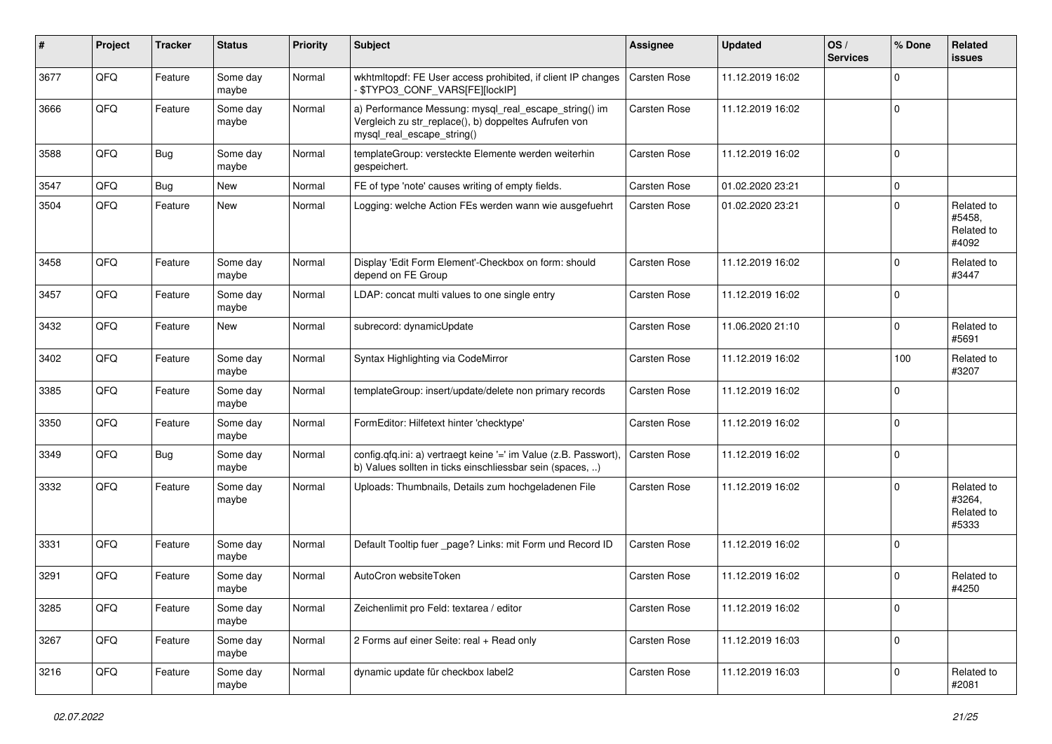| #    | Project | <b>Tracker</b> | <b>Status</b>     | <b>Priority</b> | <b>Subject</b>                                                                                                                               | <b>Assignee</b>     | <b>Updated</b>   | OS/<br><b>Services</b> | % Done      | Related<br><b>issues</b>                    |
|------|---------|----------------|-------------------|-----------------|----------------------------------------------------------------------------------------------------------------------------------------------|---------------------|------------------|------------------------|-------------|---------------------------------------------|
| 3677 | QFQ     | Feature        | Some day<br>maybe | Normal          | wkhtmltopdf: FE User access prohibited, if client IP changes<br>- \$TYPO3_CONF_VARS[FE][lockIP]                                              | Carsten Rose        | 11.12.2019 16:02 |                        | $\Omega$    |                                             |
| 3666 | QFQ     | Feature        | Some day<br>maybe | Normal          | a) Performance Messung: mysql_real_escape_string() im<br>Vergleich zu str_replace(), b) doppeltes Aufrufen von<br>mysql_real_escape_string() | Carsten Rose        | 11.12.2019 16:02 |                        | $\mathbf 0$ |                                             |
| 3588 | QFQ     | Bug            | Some day<br>maybe | Normal          | templateGroup: versteckte Elemente werden weiterhin<br>gespeichert.                                                                          | Carsten Rose        | 11.12.2019 16:02 |                        | $\mathbf 0$ |                                             |
| 3547 | QFQ     | <b>Bug</b>     | New               | Normal          | FE of type 'note' causes writing of empty fields.                                                                                            | Carsten Rose        | 01.02.2020 23:21 |                        | 0           |                                             |
| 3504 | QFQ     | Feature        | New               | Normal          | Logging: welche Action FEs werden wann wie ausgefuehrt                                                                                       | Carsten Rose        | 01.02.2020 23:21 |                        | $\Omega$    | Related to<br>#5458,<br>Related to<br>#4092 |
| 3458 | QFQ     | Feature        | Some day<br>maybe | Normal          | Display 'Edit Form Element'-Checkbox on form: should<br>depend on FE Group                                                                   | Carsten Rose        | 11.12.2019 16:02 |                        | $\mathbf 0$ | Related to<br>#3447                         |
| 3457 | QFQ     | Feature        | Some day<br>maybe | Normal          | LDAP: concat multi values to one single entry                                                                                                | Carsten Rose        | 11.12.2019 16:02 |                        | $\mathbf 0$ |                                             |
| 3432 | QFQ     | Feature        | New               | Normal          | subrecord: dynamicUpdate                                                                                                                     | Carsten Rose        | 11.06.2020 21:10 |                        | $\mathbf 0$ | Related to<br>#5691                         |
| 3402 | QFQ     | Feature        | Some day<br>maybe | Normal          | Syntax Highlighting via CodeMirror                                                                                                           | <b>Carsten Rose</b> | 11.12.2019 16:02 |                        | 100         | Related to<br>#3207                         |
| 3385 | QFQ     | Feature        | Some day<br>maybe | Normal          | templateGroup: insert/update/delete non primary records                                                                                      | Carsten Rose        | 11.12.2019 16:02 |                        | $\mathbf 0$ |                                             |
| 3350 | QFQ     | Feature        | Some day<br>maybe | Normal          | FormEditor: Hilfetext hinter 'checktype'                                                                                                     | Carsten Rose        | 11.12.2019 16:02 |                        | $\mathbf 0$ |                                             |
| 3349 | QFQ     | Bug            | Some day<br>maybe | Normal          | config.qfq.ini: a) vertraegt keine '=' im Value (z.B. Passwort),<br>b) Values sollten in ticks einschliessbar sein (spaces, )                | Carsten Rose        | 11.12.2019 16:02 |                        | $\mathbf 0$ |                                             |
| 3332 | QFQ     | Feature        | Some day<br>maybe | Normal          | Uploads: Thumbnails, Details zum hochgeladenen File                                                                                          | Carsten Rose        | 11.12.2019 16:02 |                        | $\mathbf 0$ | Related to<br>#3264,<br>Related to<br>#5333 |
| 3331 | QFQ     | Feature        | Some day<br>maybe | Normal          | Default Tooltip fuer _page? Links: mit Form und Record ID                                                                                    | Carsten Rose        | 11.12.2019 16:02 |                        | $\mathbf 0$ |                                             |
| 3291 | QFQ     | Feature        | Some day<br>maybe | Normal          | AutoCron websiteToken                                                                                                                        | Carsten Rose        | 11.12.2019 16:02 |                        | $\mathbf 0$ | Related to<br>#4250                         |
| 3285 | QFQ     | Feature        | Some day<br>maybe | Normal          | Zeichenlimit pro Feld: textarea / editor                                                                                                     | Carsten Rose        | 11.12.2019 16:02 |                        | $\mathbf 0$ |                                             |
| 3267 | QFQ     | Feature        | Some day<br>maybe | Normal          | 2 Forms auf einer Seite: real + Read only                                                                                                    | Carsten Rose        | 11.12.2019 16:03 |                        | $\mathbf 0$ |                                             |
| 3216 | QFQ     | Feature        | Some day<br>maybe | Normal          | dynamic update für checkbox label2                                                                                                           | Carsten Rose        | 11.12.2019 16:03 |                        | $\mathbf 0$ | Related to<br>#2081                         |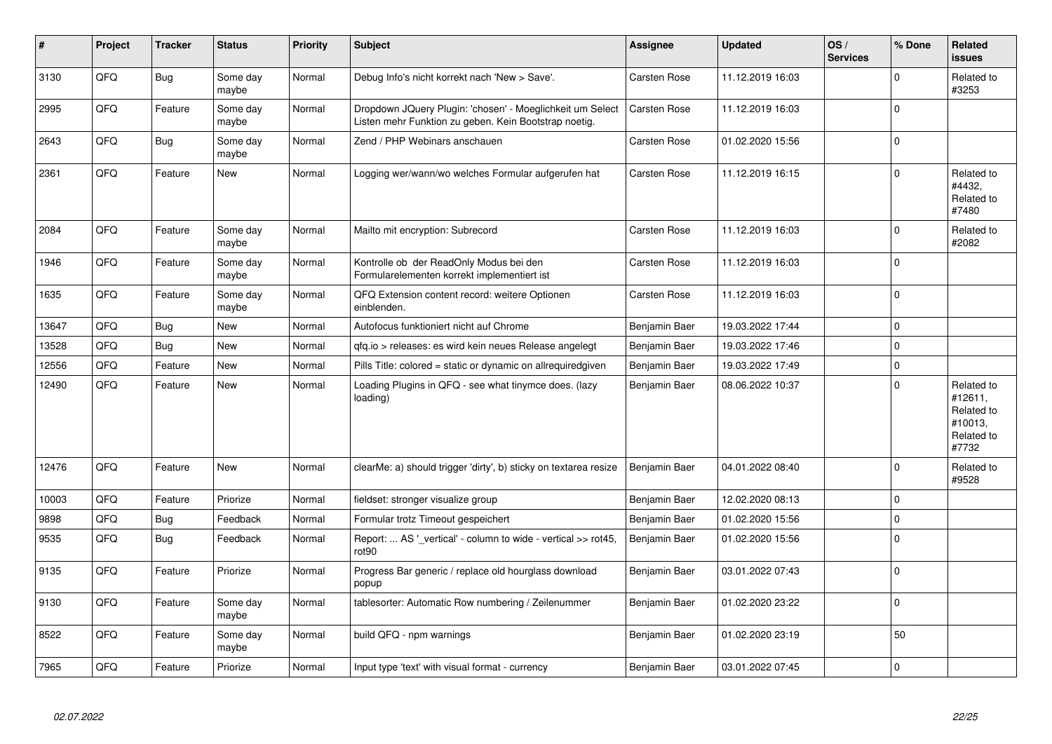| $\pmb{\#}$ | Project | <b>Tracker</b> | <b>Status</b>     | <b>Priority</b> | <b>Subject</b>                                                                                                     | Assignee            | <b>Updated</b>   | OS/<br><b>Services</b> | % Done      | Related<br>issues                                                     |
|------------|---------|----------------|-------------------|-----------------|--------------------------------------------------------------------------------------------------------------------|---------------------|------------------|------------------------|-------------|-----------------------------------------------------------------------|
| 3130       | QFQ     | <b>Bug</b>     | Some day<br>maybe | Normal          | Debug Info's nicht korrekt nach 'New > Save'.                                                                      | <b>Carsten Rose</b> | 11.12.2019 16:03 |                        | $\Omega$    | Related to<br>#3253                                                   |
| 2995       | QFQ     | Feature        | Some day<br>maybe | Normal          | Dropdown JQuery Plugin: 'chosen' - Moeglichkeit um Select<br>Listen mehr Funktion zu geben. Kein Bootstrap noetig. | <b>Carsten Rose</b> | 11.12.2019 16:03 |                        | $\Omega$    |                                                                       |
| 2643       | QFQ     | <b>Bug</b>     | Some day<br>maybe | Normal          | Zend / PHP Webinars anschauen                                                                                      | Carsten Rose        | 01.02.2020 15:56 |                        | $\mathsf 0$ |                                                                       |
| 2361       | QFQ     | Feature        | New               | Normal          | Logging wer/wann/wo welches Formular aufgerufen hat                                                                | Carsten Rose        | 11.12.2019 16:15 |                        | $\Omega$    | Related to<br>#4432,<br>Related to<br>#7480                           |
| 2084       | QFQ     | Feature        | Some day<br>maybe | Normal          | Mailto mit encryption: Subrecord                                                                                   | <b>Carsten Rose</b> | 11.12.2019 16:03 |                        | $\Omega$    | Related to<br>#2082                                                   |
| 1946       | QFQ     | Feature        | Some day<br>maybe | Normal          | Kontrolle ob der ReadOnly Modus bei den<br>Formularelementen korrekt implementiert ist                             | Carsten Rose        | 11.12.2019 16:03 |                        | 0           |                                                                       |
| 1635       | QFQ     | Feature        | Some day<br>maybe | Normal          | QFQ Extension content record: weitere Optionen<br>einblenden.                                                      | Carsten Rose        | 11.12.2019 16:03 |                        | $\Omega$    |                                                                       |
| 13647      | QFQ     | Bug            | New               | Normal          | Autofocus funktioniert nicht auf Chrome                                                                            | Benjamin Baer       | 19.03.2022 17:44 |                        | 0           |                                                                       |
| 13528      | QFQ     | <b>Bug</b>     | New               | Normal          | qfq.io > releases: es wird kein neues Release angelegt                                                             | Benjamin Baer       | 19.03.2022 17:46 |                        | 0           |                                                                       |
| 12556      | QFQ     | Feature        | <b>New</b>        | Normal          | Pills Title: colored = static or dynamic on allrequiredgiven                                                       | Benjamin Baer       | 19.03.2022 17:49 |                        | 0           |                                                                       |
| 12490      | QFQ     | Feature        | New               | Normal          | Loading Plugins in QFQ - see what tinymce does. (lazy<br>loading)                                                  | Benjamin Baer       | 08.06.2022 10:37 |                        | $\Omega$    | Related to<br>#12611,<br>Related to<br>#10013,<br>Related to<br>#7732 |
| 12476      | QFQ     | Feature        | <b>New</b>        | Normal          | clearMe: a) should trigger 'dirty', b) sticky on textarea resize                                                   | Benjamin Baer       | 04.01.2022 08:40 |                        | $\mathbf 0$ | Related to<br>#9528                                                   |
| 10003      | QFQ     | Feature        | Priorize          | Normal          | fieldset: stronger visualize group                                                                                 | Benjamin Baer       | 12.02.2020 08:13 |                        | $\Omega$    |                                                                       |
| 9898       | QFQ     | <b>Bug</b>     | Feedback          | Normal          | Formular trotz Timeout gespeichert                                                                                 | Benjamin Baer       | 01.02.2020 15:56 |                        | 0           |                                                                       |
| 9535       | QFQ     | Bug            | Feedback          | Normal          | Report:  AS ' vertical' - column to wide - vertical >> rot45,<br>rot90                                             | Benjamin Baer       | 01.02.2020 15:56 |                        | $\Omega$    |                                                                       |
| 9135       | QFQ     | Feature        | Priorize          | Normal          | Progress Bar generic / replace old hourglass download<br>popup                                                     | Benjamin Baer       | 03.01.2022 07:43 |                        | $\Omega$    |                                                                       |
| 9130       | QFQ     | Feature        | Some day<br>maybe | Normal          | tablesorter: Automatic Row numbering / Zeilenummer                                                                 | Benjamin Baer       | 01.02.2020 23:22 |                        | 0           |                                                                       |
| 8522       | QFQ     | Feature        | Some day<br>maybe | Normal          | build QFQ - npm warnings                                                                                           | Benjamin Baer       | 01.02.2020 23:19 |                        | 50          |                                                                       |
| 7965       | QFQ     | Feature        | Priorize          | Normal          | Input type 'text' with visual format - currency                                                                    | Benjamin Baer       | 03.01.2022 07:45 |                        | $\mathsf 0$ |                                                                       |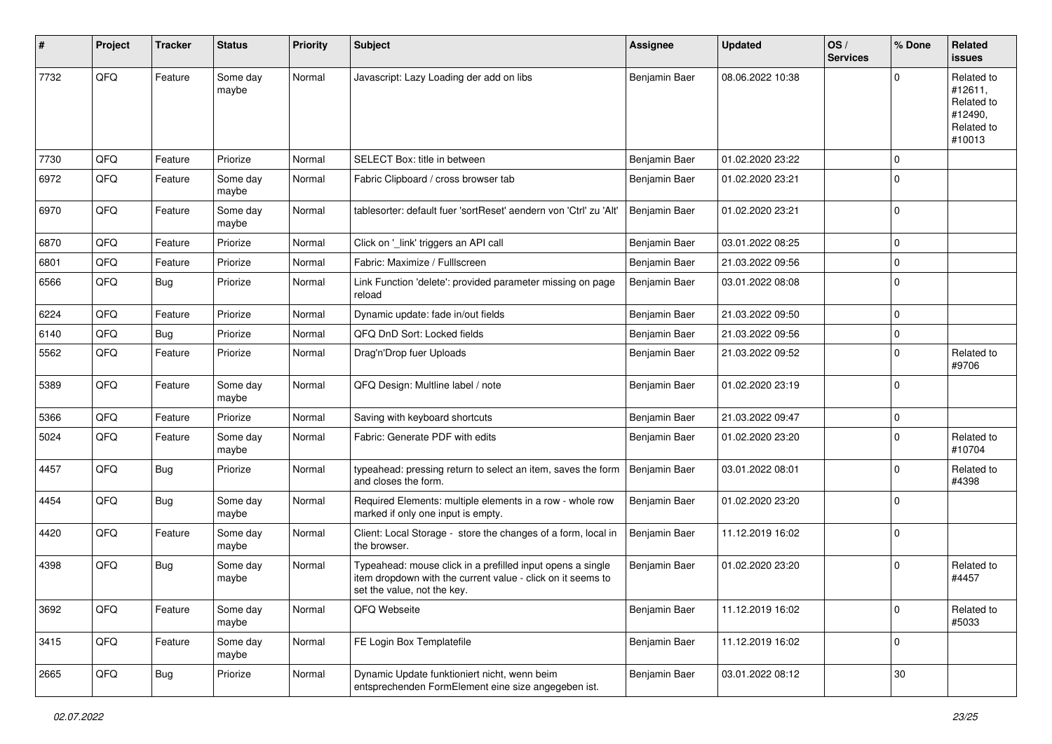| #    | Project | <b>Tracker</b> | <b>Status</b>     | <b>Priority</b> | <b>Subject</b>                                                                                                                                           | Assignee      | <b>Updated</b>   | OS/<br><b>Services</b> | % Done      | Related<br><b>issues</b>                                               |
|------|---------|----------------|-------------------|-----------------|----------------------------------------------------------------------------------------------------------------------------------------------------------|---------------|------------------|------------------------|-------------|------------------------------------------------------------------------|
| 7732 | QFQ     | Feature        | Some day<br>maybe | Normal          | Javascript: Lazy Loading der add on libs                                                                                                                 | Benjamin Baer | 08.06.2022 10:38 |                        | $\Omega$    | Related to<br>#12611,<br>Related to<br>#12490,<br>Related to<br>#10013 |
| 7730 | QFQ     | Feature        | Priorize          | Normal          | SELECT Box: title in between                                                                                                                             | Benjamin Baer | 01.02.2020 23:22 |                        | $\Omega$    |                                                                        |
| 6972 | QFQ     | Feature        | Some day<br>maybe | Normal          | Fabric Clipboard / cross browser tab                                                                                                                     | Benjamin Baer | 01.02.2020 23:21 |                        | $\Omega$    |                                                                        |
| 6970 | QFQ     | Feature        | Some day<br>maybe | Normal          | tablesorter: default fuer 'sortReset' aendern von 'Ctrl' zu 'Alt'                                                                                        | Benjamin Baer | 01.02.2020 23:21 |                        | $\Omega$    |                                                                        |
| 6870 | QFQ     | Feature        | Priorize          | Normal          | Click on '_link' triggers an API call                                                                                                                    | Benjamin Baer | 03.01.2022 08:25 |                        | $\Omega$    |                                                                        |
| 6801 | QFQ     | Feature        | Priorize          | Normal          | Fabric: Maximize / FullIscreen                                                                                                                           | Benjamin Baer | 21.03.2022 09:56 |                        | 0           |                                                                        |
| 6566 | QFQ     | Bug            | Priorize          | Normal          | Link Function 'delete': provided parameter missing on page<br>reload                                                                                     | Benjamin Baer | 03.01.2022 08:08 |                        | $\Omega$    |                                                                        |
| 6224 | QFQ     | Feature        | Priorize          | Normal          | Dynamic update: fade in/out fields                                                                                                                       | Benjamin Baer | 21.03.2022 09:50 |                        | $\mathbf 0$ |                                                                        |
| 6140 | QFQ     | Bug            | Priorize          | Normal          | QFQ DnD Sort: Locked fields                                                                                                                              | Benjamin Baer | 21.03.2022 09:56 |                        | $\mathbf 0$ |                                                                        |
| 5562 | QFQ     | Feature        | Priorize          | Normal          | Drag'n'Drop fuer Uploads                                                                                                                                 | Benjamin Baer | 21.03.2022 09:52 |                        | $\Omega$    | Related to<br>#9706                                                    |
| 5389 | QFQ     | Feature        | Some day<br>maybe | Normal          | QFQ Design: Multline label / note                                                                                                                        | Benjamin Baer | 01.02.2020 23:19 |                        | $\Omega$    |                                                                        |
| 5366 | QFQ     | Feature        | Priorize          | Normal          | Saving with keyboard shortcuts                                                                                                                           | Benjamin Baer | 21.03.2022 09:47 |                        | $\Omega$    |                                                                        |
| 5024 | QFQ     | Feature        | Some day<br>maybe | Normal          | Fabric: Generate PDF with edits                                                                                                                          | Benjamin Baer | 01.02.2020 23:20 |                        | $\Omega$    | Related to<br>#10704                                                   |
| 4457 | QFQ     | Bug            | Priorize          | Normal          | typeahead: pressing return to select an item, saves the form<br>and closes the form.                                                                     | Benjamin Baer | 03.01.2022 08:01 |                        | $\Omega$    | Related to<br>#4398                                                    |
| 4454 | QFQ     | <b>Bug</b>     | Some day<br>maybe | Normal          | Required Elements: multiple elements in a row - whole row<br>marked if only one input is empty.                                                          | Benjamin Baer | 01.02.2020 23:20 |                        | $\Omega$    |                                                                        |
| 4420 | QFQ     | Feature        | Some day<br>maybe | Normal          | Client: Local Storage - store the changes of a form, local in<br>the browser.                                                                            | Benjamin Baer | 11.12.2019 16:02 |                        | $\Omega$    |                                                                        |
| 4398 | QFQ     | Bug            | Some day<br>maybe | Normal          | Typeahead: mouse click in a prefilled input opens a single<br>item dropdown with the current value - click on it seems to<br>set the value, not the key. | Benjamin Baer | 01.02.2020 23:20 |                        | $\Omega$    | Related to<br>#4457                                                    |
| 3692 | QFQ     | Feature        | Some day<br>maybe | Normal          | QFQ Webseite                                                                                                                                             | Benjamin Baer | 11.12.2019 16:02 |                        | 0           | Related to<br>#5033                                                    |
| 3415 | QFQ     | Feature        | Some day<br>maybe | Normal          | FE Login Box Templatefile                                                                                                                                | Benjamin Baer | 11.12.2019 16:02 |                        | $\mathbf 0$ |                                                                        |
| 2665 | QFQ     | <b>Bug</b>     | Priorize          | Normal          | Dynamic Update funktioniert nicht, wenn beim<br>entsprechenden FormElement eine size angegeben ist.                                                      | Benjamin Baer | 03.01.2022 08:12 |                        | $30\,$      |                                                                        |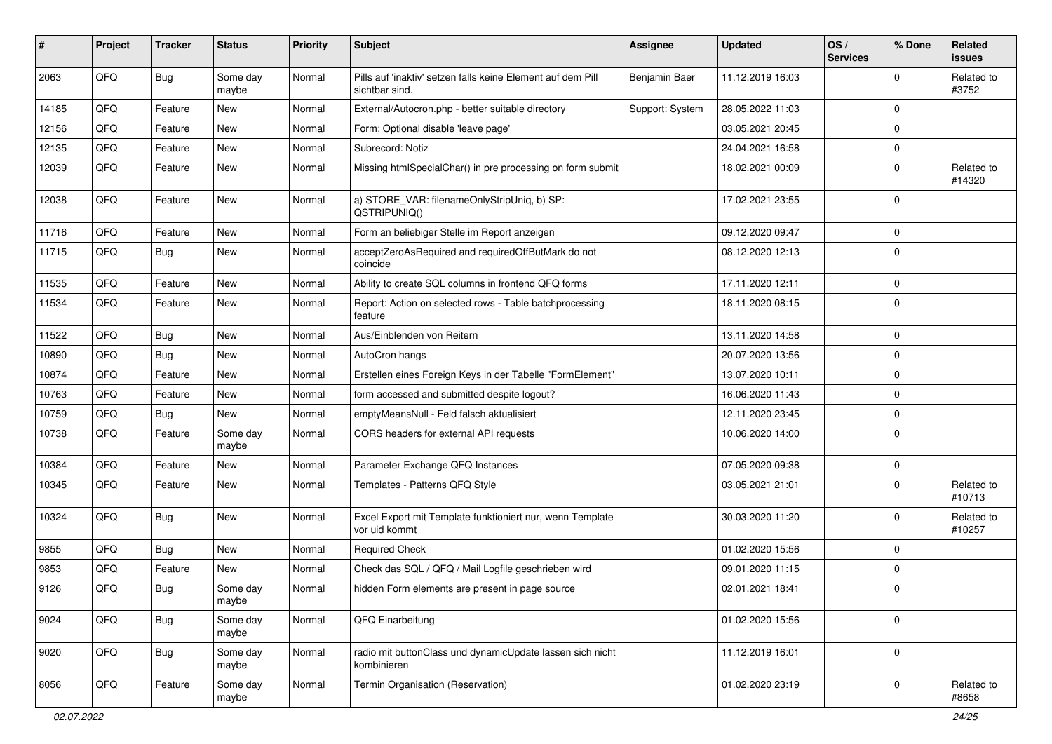| #     | Project | <b>Tracker</b> | <b>Status</b>     | <b>Priority</b> | <b>Subject</b>                                                                | <b>Assignee</b> | <b>Updated</b>   | OS/<br><b>Services</b> | % Done      | Related<br><b>issues</b> |
|-------|---------|----------------|-------------------|-----------------|-------------------------------------------------------------------------------|-----------------|------------------|------------------------|-------------|--------------------------|
| 2063  | QFQ     | Bug            | Some day<br>maybe | Normal          | Pills auf 'inaktiv' setzen falls keine Element auf dem Pill<br>sichtbar sind. | Benjamin Baer   | 11.12.2019 16:03 |                        | $\Omega$    | Related to<br>#3752      |
| 14185 | QFQ     | Feature        | New               | Normal          | External/Autocron.php - better suitable directory                             | Support: System | 28.05.2022 11:03 |                        | $\mathbf 0$ |                          |
| 12156 | QFQ     | Feature        | New               | Normal          | Form: Optional disable 'leave page'                                           |                 | 03.05.2021 20:45 |                        | $\mathbf 0$ |                          |
| 12135 | QFQ     | Feature        | New               | Normal          | Subrecord: Notiz                                                              |                 | 24.04.2021 16:58 |                        | 0           |                          |
| 12039 | QFQ     | Feature        | New               | Normal          | Missing htmlSpecialChar() in pre processing on form submit                    |                 | 18.02.2021 00:09 |                        | $\mathbf 0$ | Related to<br>#14320     |
| 12038 | QFQ     | Feature        | New               | Normal          | a) STORE_VAR: filenameOnlyStripUniq, b) SP:<br>QSTRIPUNIQ()                   |                 | 17.02.2021 23:55 |                        | $\mathbf 0$ |                          |
| 11716 | QFQ     | Feature        | New               | Normal          | Form an beliebiger Stelle im Report anzeigen                                  |                 | 09.12.2020 09:47 |                        | $\mathbf 0$ |                          |
| 11715 | QFQ     | Bug            | New               | Normal          | acceptZeroAsRequired and requiredOffButMark do not<br>coincide                |                 | 08.12.2020 12:13 |                        | $\mathbf 0$ |                          |
| 11535 | QFQ     | Feature        | New               | Normal          | Ability to create SQL columns in frontend QFQ forms                           |                 | 17.11.2020 12:11 |                        | $\pmb{0}$   |                          |
| 11534 | QFQ     | Feature        | New               | Normal          | Report: Action on selected rows - Table batchprocessing<br>feature            |                 | 18.11.2020 08:15 |                        | $\mathbf 0$ |                          |
| 11522 | QFQ     | <b>Bug</b>     | New               | Normal          | Aus/Einblenden von Reitern                                                    |                 | 13.11.2020 14:58 |                        | $\mathbf 0$ |                          |
| 10890 | QFQ     | <b>Bug</b>     | <b>New</b>        | Normal          | AutoCron hangs                                                                |                 | 20.07.2020 13:56 |                        | $\mathbf 0$ |                          |
| 10874 | QFQ     | Feature        | New               | Normal          | Erstellen eines Foreign Keys in der Tabelle "FormElement"                     |                 | 13.07.2020 10:11 |                        | $\mathbf 0$ |                          |
| 10763 | QFQ     | Feature        | New               | Normal          | form accessed and submitted despite logout?                                   |                 | 16.06.2020 11:43 |                        | $\mathbf 0$ |                          |
| 10759 | QFQ     | <b>Bug</b>     | New               | Normal          | emptyMeansNull - Feld falsch aktualisiert                                     |                 | 12.11.2020 23:45 |                        | $\mathbf 0$ |                          |
| 10738 | QFQ     | Feature        | Some day<br>maybe | Normal          | CORS headers for external API requests                                        |                 | 10.06.2020 14:00 |                        | $\mathbf 0$ |                          |
| 10384 | QFQ     | Feature        | New               | Normal          | Parameter Exchange QFQ Instances                                              |                 | 07.05.2020 09:38 |                        | $\pmb{0}$   |                          |
| 10345 | QFQ     | Feature        | New               | Normal          | Templates - Patterns QFQ Style                                                |                 | 03.05.2021 21:01 |                        | $\mathbf 0$ | Related to<br>#10713     |
| 10324 | QFQ     | <b>Bug</b>     | New               | Normal          | Excel Export mit Template funktioniert nur, wenn Template<br>vor uid kommt    |                 | 30.03.2020 11:20 |                        | $\mathbf 0$ | Related to<br>#10257     |
| 9855  | QFQ     | <b>Bug</b>     | <b>New</b>        | Normal          | <b>Required Check</b>                                                         |                 | 01.02.2020 15:56 |                        | $\mathbf 0$ |                          |
| 9853  | QFQ     | Feature        | New               | Normal          | Check das SQL / QFQ / Mail Logfile geschrieben wird                           |                 | 09.01.2020 11:15 |                        | 0           |                          |
| 9126  | QFQ     | Bug            | Some day<br>maybe | Normal          | hidden Form elements are present in page source                               |                 | 02.01.2021 18:41 |                        | $\mathbf 0$ |                          |
| 9024  | QFQ     | <b>Bug</b>     | Some day<br>maybe | Normal          | QFQ Einarbeitung                                                              |                 | 01.02.2020 15:56 |                        | $\mathbf 0$ |                          |
| 9020  | QFQ     | <b>Bug</b>     | Some day<br>maybe | Normal          | radio mit buttonClass und dynamicUpdate lassen sich nicht<br>kombinieren      |                 | 11.12.2019 16:01 |                        | $\mathbf 0$ |                          |
| 8056  | QFQ     | Feature        | Some day<br>maybe | Normal          | Termin Organisation (Reservation)                                             |                 | 01.02.2020 23:19 |                        | $\mathbf 0$ | Related to<br>#8658      |